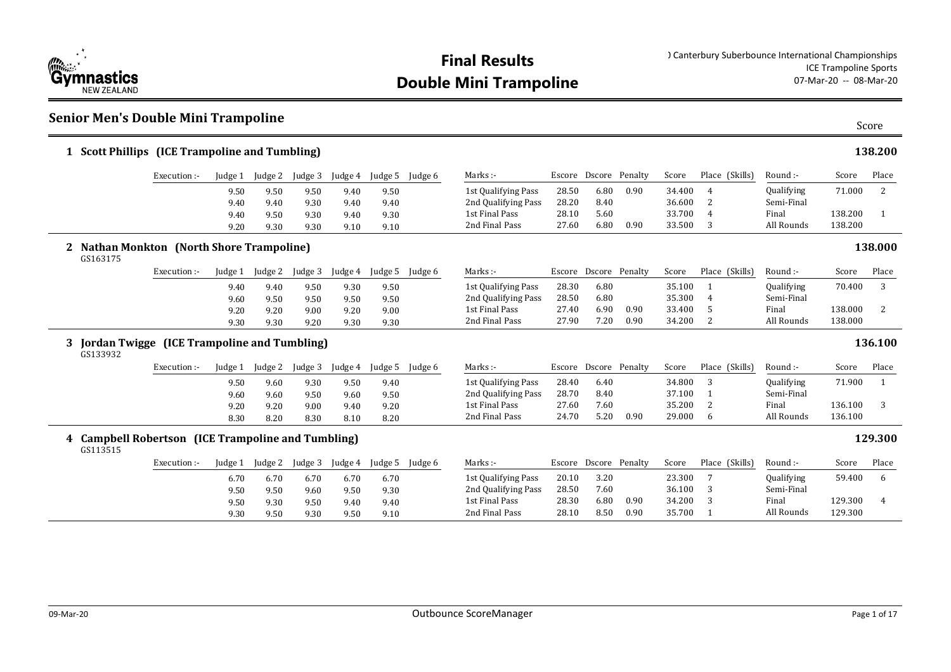

#### **Senior Men's Double Mini Trampoline**

| 1 Scott Phillips (ICE Trampoline and Tumbling)            |                                                |         |         |         |         |         |         |                     |       |                       |      |        |                 |                   |         | 138.200 |
|-----------------------------------------------------------|------------------------------------------------|---------|---------|---------|---------|---------|---------|---------------------|-------|-----------------------|------|--------|-----------------|-------------------|---------|---------|
|                                                           | Execution :-                                   | Judge 1 | Judge 2 | Judge 3 | Judge 4 | Judge 5 | Judge 6 | Marks:-             |       | Escore Dscore Penalty |      | Score  | Place (Skills)  | Round :-          | Score   | Place   |
|                                                           |                                                | 9.50    | 9.50    | 9.50    | 9.40    | 9.50    |         | 1st Qualifying Pass | 28.50 | 6.80                  | 0.90 | 34.400 | $\overline{4}$  | Qualifying        | 71.000  | 2       |
|                                                           |                                                | 9.40    | 9.40    | 9.30    | 9.40    | 9.40    |         | 2nd Qualifying Pass | 28.20 | 8.40                  |      | 36.600 | 2               | Semi-Final        |         |         |
|                                                           |                                                | 9.40    | 9.50    | 9.30    | 9.40    | 9.30    |         | 1st Final Pass      | 28.10 | 5.60                  |      | 33.700 | 4               | Final             | 138.200 | 1       |
|                                                           |                                                | 9.20    | 9.30    | 9.30    | 9.10    | 9.10    |         | 2nd Final Pass      | 27.60 | 6.80                  | 0.90 | 33.500 | 3               | All Rounds        | 138.200 |         |
| GS163175                                                  | <b>Nathan Monkton (North Shore Trampoline)</b> |         |         |         |         |         |         |                     |       |                       |      |        |                 |                   |         | 138.000 |
|                                                           | Execution :-                                   | Judge 1 | Judge 2 | Judge 3 | Judge 4 | Judge 5 | Judge 6 | Marks :-            |       | Escore Dscore Penalty |      | Score  | Place (Skills)  | Round :-          | Score   | Place   |
|                                                           |                                                | 9.40    | 9.40    | 9.50    | 9.30    | 9.50    |         | 1st Qualifying Pass | 28.30 | 6.80                  |      | 35.100 | $\mathbf{1}$    | Qualifying        | 70.400  | 3       |
|                                                           |                                                | 9.60    | 9.50    | 9.50    | 9.50    | 9.50    |         | 2nd Qualifying Pass | 28.50 | 6.80                  |      | 35.300 | 4               | Semi-Final        |         |         |
|                                                           |                                                | 9.20    | 9.20    | 9.00    | 9.20    | 9.00    |         | 1st Final Pass      | 27.40 | 6.90                  | 0.90 | 33.400 | 5               | Final             | 138.000 | 2       |
|                                                           |                                                | 9.30    | 9.30    | 9.20    | 9.30    | 9.30    |         | 2nd Final Pass      | 27.90 | 7.20                  | 0.90 | 34.200 | 2               | All Rounds        | 138.000 |         |
| 3 Jordan Twigge (ICE Trampoline and Tumbling)<br>GS133932 |                                                |         |         |         |         |         |         |                     |       |                       |      |        |                 |                   |         | 136.100 |
|                                                           | Execution :-                                   | Judge 1 | Judge 2 | Judge 3 | Judge 4 | Judge 5 | Judge 6 | $Marks$ :           |       | Escore Dscore Penalty |      | Score  | Place (Skills)  | Round :-          | Score   | Place   |
|                                                           |                                                | 9.50    | 9.60    | 9.30    | 9.50    | 9.40    |         | 1st Qualifying Pass | 28.40 | 6.40                  |      | 34.800 | 3               | Qualifying        | 71.900  | 1       |
|                                                           |                                                | 9.60    | 9.60    | 9.50    | 9.60    | 9.50    |         | 2nd Qualifying Pass | 28.70 | 8.40                  |      | 37.100 |                 | Semi-Final        |         |         |
|                                                           |                                                | 9.20    | 9.20    | 9.00    | 9.40    | 9.20    |         | 1st Final Pass      | 27.60 | 7.60                  |      | 35.200 | 2               | Final             | 136.100 | 3       |
|                                                           |                                                | 8.30    | 8.20    | 8.30    | 8.10    | 8.20    |         | 2nd Final Pass      | 24.70 | 5.20                  | 0.90 | 29.000 | 6               | All Rounds        | 136.100 |         |
| 4 Campbell Robertson (ICE Trampoline and Tumbling)        |                                                |         |         |         |         |         |         |                     |       |                       |      |        |                 |                   |         | 129.300 |
| GS113515                                                  |                                                |         |         |         |         |         |         |                     |       |                       |      |        |                 |                   |         |         |
|                                                           | Execution :-                                   | Judge 1 | Judge 2 | Judge 3 | Judge 4 | Judge 5 | Judge 6 | Marks :-            |       | Escore Dscore Penalty |      | Score  | Place (Skills)  | Round :-          | Score   | Place   |
|                                                           |                                                | 6.70    | 6.70    | 6.70    | 6.70    | 6.70    |         | 1st Qualifying Pass | 20.10 | 3.20                  |      | 23.300 | $7\overline{ }$ | <b>Qualifying</b> | 59.400  | 6       |
|                                                           |                                                | 9.50    | 9.50    | 9.60    | 9.50    | 9.30    |         | 2nd Qualifying Pass | 28.50 | 7.60                  |      | 36.100 | 3               | Semi-Final        |         |         |
|                                                           |                                                | 9.50    | 9.30    | 9.50    | 9.40    | 9.40    |         | 1st Final Pass      | 28.30 | 6.80                  | 0.90 | 34.200 | 3               | Final             | 129.300 | 4       |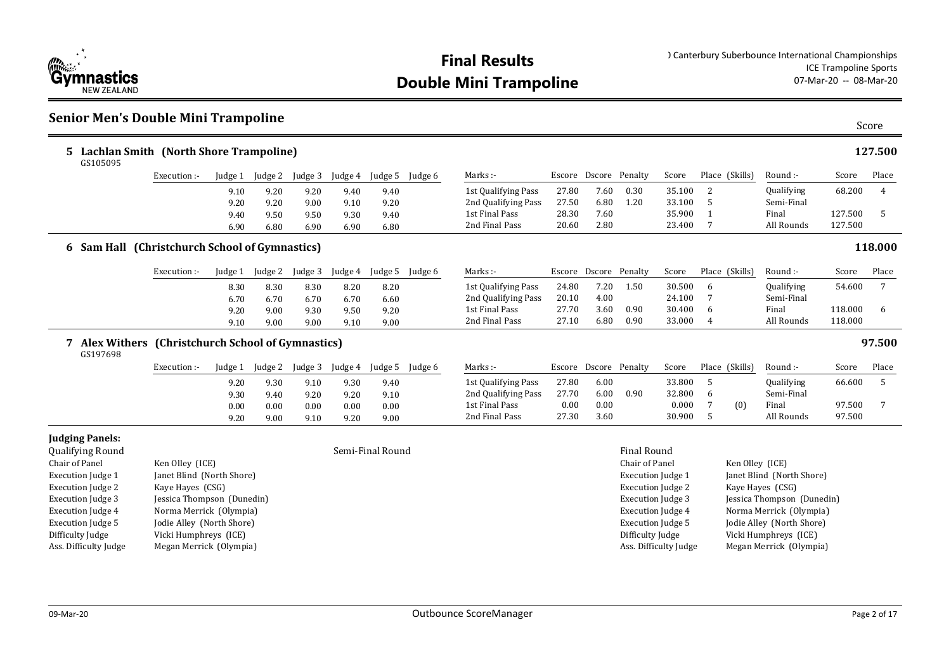

### **Senior Men's Double Mini Trampoline** Score

| Lachlan Smith (North Shore Trampoline)<br>5.<br>GS105095     |                 |              |              |              |              |                  |         |                                            |                |                       |                                      |                  |         |                 |                          |                    | 127.500 |
|--------------------------------------------------------------|-----------------|--------------|--------------|--------------|--------------|------------------|---------|--------------------------------------------|----------------|-----------------------|--------------------------------------|------------------|---------|-----------------|--------------------------|--------------------|---------|
|                                                              | Execution:-     | Judge 1      | Judge 2      | Judge 3      | Judge 4      | Judge 5          | Judge 6 | Marks :-                                   | Escore         | Dscore Penalty        |                                      | Score            |         | Place (Skills)  | Round :-                 | Score              | Place   |
|                                                              |                 | 9.10<br>9.20 | 9.20<br>9.20 | 9.20<br>9.00 | 9.40<br>9.10 | 9.40<br>9.20     |         | 1st Qualifying Pass<br>2nd Qualifying Pass | 27.80<br>27.50 | 7.60<br>6.80          | 0.30<br>1.20                         | 35.100<br>33.100 | 2<br>5  |                 | Qualifying<br>Semi-Final | 68.200             | 4       |
|                                                              |                 | 9.40<br>6.90 | 9.50<br>6.80 | 9.50<br>6.90 | 9.30<br>6.90 | 9.40<br>6.80     |         | 1st Final Pass<br>2nd Final Pass           | 28.30<br>20.60 | 7.60<br>2.80          |                                      | 35.900<br>23.400 | 7       |                 | Final<br>All Rounds      | 127.500<br>127.500 | 5       |
| 6 Sam Hall (Christchurch School of Gymnastics)               |                 |              |              |              |              |                  |         |                                            |                |                       |                                      |                  |         |                 |                          |                    | 118.000 |
|                                                              | Execution :-    | Judge 1      | Judge 2      | Judge 3      | Judge 4      | Judge 5          | Judge 6 | Marks :-                                   |                | Escore Dscore Penalty |                                      | Score            |         | Place (Skills)  | Round :-                 | Score              | Place   |
|                                                              |                 | 8.30<br>6.70 | 8.30<br>6.70 | 8.30<br>6.70 | 8.20<br>6.70 | 8.20<br>6.60     |         | 1st Qualifying Pass<br>2nd Qualifying Pass | 24.80<br>20.10 | 7.20<br>4.00          | 1.50                                 | 30.500<br>24.100 | 6       |                 | Qualifying<br>Semi-Final | 54.600             | 7       |
|                                                              |                 | 9.20<br>9.10 | 9.00<br>9.00 | 9.30<br>9.00 | 9.50<br>9.10 | 9.20<br>9.00     |         | 1st Final Pass<br>2nd Final Pass           | 27.70<br>27.10 | 3.60<br>6.80          | 0.90<br>0.90                         | 30.400<br>33.000 | 6<br>4  |                 | Final<br>All Rounds      | 118.000<br>118.000 | 6       |
| Alex Withers (Christchurch School of Gymnastics)<br>GS197698 |                 |              |              |              |              |                  |         |                                            |                |                       |                                      |                  |         |                 |                          |                    | 97.500  |
|                                                              | Execution:-     | Judge 1      | Judge 2      | Judge 3      | Judge 4      | Judge 5          | Judge 6 | Marks :-                                   |                | Escore Dscore Penalty |                                      | Score            |         | Place (Skills)  | Round :-                 | Score              | Place   |
|                                                              |                 | 9.20<br>9.30 | 9.30<br>9.40 | 9.10<br>9.20 | 9.30<br>9.20 | 9.40<br>9.10     |         | 1st Qualifying Pass<br>2nd Qualifying Pass | 27.80<br>27.70 | 6.00<br>6.00          | 0.90                                 | 33.800<br>32.800 | -5<br>6 |                 | Qualifying<br>Semi-Final | 66.600             | 5       |
|                                                              |                 | 0.00<br>9.20 | 0.00<br>9.00 | 0.00<br>9.10 | 0.00<br>9.20 | 0.00<br>9.00     |         | 1st Final Pass<br>2nd Final Pass           | 0.00<br>27.30  | 0.00<br>3.60          |                                      | 0.000<br>30.900  | 7<br>-5 | (0)             | Final<br>All Rounds      | 97.500<br>97.500   | 7       |
| <b>Judging Panels:</b><br>Qualifying Round<br>Chair of Panel | Ken Olley (ICE) |              |              |              |              | Semi-Final Round |         |                                            |                |                       | <b>Final Round</b><br>Chair of Panel |                  |         | Ken Olley (ICE) |                          |                    |         |

| Chair of Panel           | Ken Olley (ICE)            |
|--------------------------|----------------------------|
| Execution Judge 1        | Janet Blind (North Shore)  |
| <b>Execution Judge 2</b> | Kaye Hayes (CSG)           |
| Execution Judge 3        | Jessica Thompson (Dunedin) |
| Execution Judge 4        | Norma Merrick (Olympia)    |
| <b>Execution Judge 5</b> | Jodie Alley (North Shore)  |
| Difficulty Judge         | Vicki Humphreys (ICE)      |
| Ass. Difficulty Judge    | Megan Merrick (Olympia)    |
|                          |                            |

Execution Judge 1 Janet Blind (North Shore) Execution Judge 2 Kaye Hayes (CSG) Execution Judge 3 Jessica Thompson (Dunedin) Execution Judge 4 Norma Merrick (Olympia) Execution Judge 5 Jodie Alley (North Shore) Difficulty Judge Vicki Humphreys (ICE) Ass. Difficulty Judge Megan Merrick (Olympia)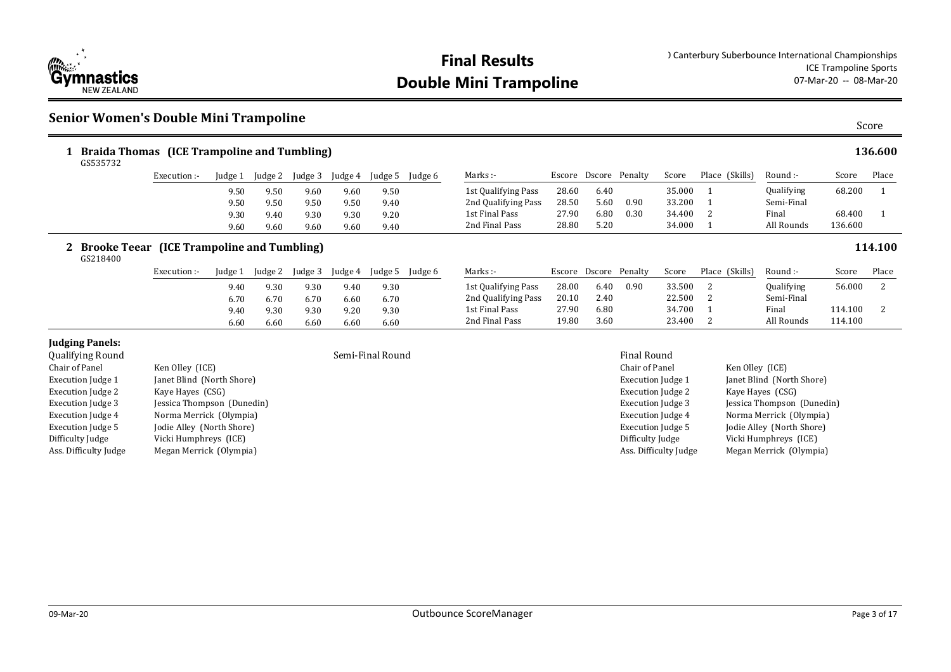

#### **Senior Women's Double Mini Trampoline**

| GS535732                            |                                               |         |         | Braida Thomas (ICE Trampoline and Tumbling) |         |                  |                 |                     |       |                       |                    |        |                |                   |         | 136.600          |
|-------------------------------------|-----------------------------------------------|---------|---------|---------------------------------------------|---------|------------------|-----------------|---------------------|-------|-----------------------|--------------------|--------|----------------|-------------------|---------|------------------|
|                                     | Execution :-                                  | Judge 1 | Judge 2 | Judge 3                                     | Judge 4 | Judge 5          | Judge 6         | Marks :-            |       | Escore Dscore Penalty |                    | Score  | Place (Skills) | Round :-          | Score   | Place            |
|                                     |                                               | 9.50    | 9.50    | 9.60                                        | 9.60    | 9.50             |                 | 1st Qualifying Pass | 28.60 | 6.40                  |                    | 35.000 |                | <b>Qualifying</b> | 68.200  |                  |
|                                     |                                               | 9.50    | 9.50    | 9.50                                        | 9.50    | 9.40             |                 | 2nd Qualifying Pass | 28.50 | 5.60                  | 0.90               | 33.200 |                | Semi-Final        |         |                  |
|                                     |                                               | 9.30    | 9.40    | 9.30                                        | 9.30    | 9.20             |                 | 1st Final Pass      | 27.90 | 6.80                  | 0.30               | 34.400 |                | Final             | 68.400  |                  |
|                                     |                                               | 9.60    | 9.60    | 9.60                                        | 9.60    | 9.40             |                 | 2nd Final Pass      | 28.80 | 5.20                  |                    | 34.000 |                | All Rounds        | 136.600 |                  |
| 2 Brooke Teear<br>GS218400          | (ICE Trampoline and Tumbling)<br>Execution :- | Judge 1 | Judge 2 | Judge 3                                     | Judge 4 |                  | Judge 5 Judge 6 | Marks :-            |       | Escore Dscore Penalty |                    | Score  | Place (Skills) | Round :-          | Score   | 114.100<br>Place |
|                                     |                                               | 9.40    | 9.30    | 9.30                                        | 9.40    | 9.30             |                 | 1st Qualifying Pass | 28.00 | 6.40                  | 0.90               | 33.500 | -2             | Qualifying        | 56.000  | 2                |
|                                     |                                               | 6.70    | 6.70    | 6.70                                        | 6.60    | 6.70             |                 | 2nd Qualifying Pass | 20.10 | 2.40                  |                    | 22.500 |                | Semi-Final        |         |                  |
|                                     |                                               | 9.40    | 9.30    | 9.30                                        | 9.20    | 9.30             |                 | 1st Final Pass      | 27.90 | 6.80                  |                    | 34.700 |                | Final             | 114.100 |                  |
|                                     |                                               | 6.60    | 6.60    | 6.60                                        | 6.60    | 6.60             |                 | 2nd Final Pass      | 19.80 | 3.60                  |                    | 23.400 | 2              | All Rounds        | 114.100 |                  |
| Judging Panels:<br>Qualifying Round |                                               |         |         |                                             |         | Semi-Final Round |                 |                     |       |                       | <b>Final Round</b> |        |                |                   |         |                  |

| Chair of Panel           | Ken Olley (ICE)            |
|--------------------------|----------------------------|
| <b>Execution Judge 1</b> | Janet Blind (North Shore)  |
| <b>Execution Judge 2</b> | Kaye Hayes (CSG)           |
| <b>Execution Judge 3</b> | Jessica Thompson (Dunedin) |
| <b>Execution Judge 4</b> | Norma Merrick (Olympia)    |
| <b>Execution Judge 5</b> | Jodie Alley (North Shore)  |
| Difficulty Judge         | Vicki Humphreys (ICE)      |
| Ass. Difficulty Judge    | Megan Merrick (Olympia)    |
|                          |                            |

#### Chair of Panel Ken Olley (ICE) Execution Judge 1 Janet Blind (North Shore) Execution Judge 2 Kaye Hayes (CSG) Execution Judge 3 Jessica Thompson (Dunedin) Execution Judge 4 Norma Merrick (Olympia) Execution Judge 5 Jodie Alley (North Shore) Difficulty Judge Vicki Humphreys (ICE) Ass. Difficulty Judge Megan Merrick (Olympia)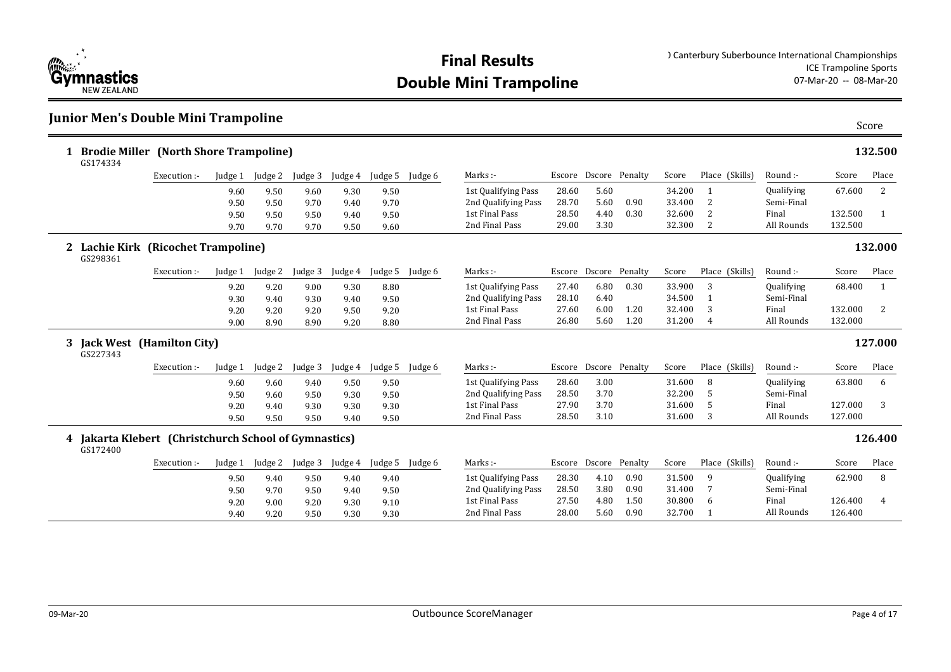

### **Junior Men's Double Mini Trampoline**

|                | 1 Brodie Miller (North Shore Trampoline)<br>GS174334              |              |         |         |         |         |         |         |                     |        |                       |      |        |                |            |         | 132.500      |
|----------------|-------------------------------------------------------------------|--------------|---------|---------|---------|---------|---------|---------|---------------------|--------|-----------------------|------|--------|----------------|------------|---------|--------------|
|                |                                                                   | Execution:-  | Judge 1 | Judge 2 | Judge 3 | Judge 4 | Judge 5 | Judge 6 | Marks:-             |        | Escore Dscore Penalty |      | Score  | Place (Skills) | Round :-   | Score   | Place        |
|                |                                                                   |              | 9.60    | 9.50    | 9.60    | 9.30    | 9.50    |         | 1st Qualifying Pass | 28.60  | 5.60                  |      | 34.200 |                | Qualifying | 67.600  | 2            |
|                |                                                                   |              | 9.50    | 9.50    | 9.70    | 9.40    | 9.70    |         | 2nd Qualifying Pass | 28.70  | 5.60                  | 0.90 | 33.400 | 2              | Semi-Final |         |              |
|                |                                                                   |              | 9.50    | 9.50    | 9.50    | 9.40    | 9.50    |         | 1st Final Pass      | 28.50  | 4.40                  | 0.30 | 32.600 | 2              | Final      | 132.500 | 1            |
|                |                                                                   |              | 9.70    | 9.70    | 9.70    | 9.50    | 9.60    |         | 2nd Final Pass      | 29.00  | 3.30                  |      | 32.300 | 2              | All Rounds | 132.500 |              |
| $\mathbf{2}^-$ | Lachie Kirk (Ricochet Trampoline)<br>GS298361                     |              |         |         |         |         |         |         |                     |        |                       |      |        |                |            |         | 132.000      |
|                |                                                                   | Execution :- | Judge 1 | Judge 2 | Judge 3 | Judge 4 | Judge 5 | Judge 6 | Marks:-             |        | Escore Dscore Penalty |      | Score  | Place (Skills) | Round :-   | Score   | Place        |
|                |                                                                   |              | 9.20    | 9.20    | 9.00    | 9.30    | 8.80    |         | 1st Qualifying Pass | 27.40  | 6.80                  | 0.30 | 33.900 | 3              | Qualifying | 68.400  | $\mathbf{1}$ |
|                |                                                                   |              | 9.30    | 9.40    | 9.30    | 9.40    | 9.50    |         | 2nd Qualifying Pass | 28.10  | 6.40                  |      | 34.500 |                | Semi-Final |         |              |
|                |                                                                   |              | 9.20    | 9.20    | 9.20    | 9.50    | 9.20    |         | 1st Final Pass      | 27.60  | 6.00                  | 1.20 | 32.400 | 3              | Final      | 132.000 | 2            |
|                |                                                                   |              | 9.00    | 8.90    | 8.90    | 9.20    | 8.80    |         | 2nd Final Pass      | 26.80  | 5.60                  | 1.20 | 31.200 | 4              | All Rounds | 132.000 |              |
| 3              | <b>Jack West</b> (Hamilton City)<br>GS227343                      |              |         |         |         |         |         |         |                     |        |                       |      |        |                |            |         | 127.000      |
|                |                                                                   | Execution:-  | Judge 1 | Judge 2 | Judge 3 | Judge 4 | Judge 5 | Judge 6 | Marks:-             | Escore | Dscore Penalty        |      | Score  | Place (Skills) | Round :-   | Score   | Place        |
|                |                                                                   |              | 9.60    | 9.60    | 9.40    | 9.50    | 9.50    |         | 1st Qualifying Pass | 28.60  | 3.00                  |      | 31.600 | 8              | Qualifying | 63.800  | 6            |
|                |                                                                   |              | 9.50    | 9.60    | 9.50    | 9.30    | 9.50    |         | 2nd Qualifying Pass | 28.50  | 3.70                  |      | 32.200 | .5             | Semi-Final |         |              |
|                |                                                                   |              | 9.20    | 9.40    | 9.30    | 9.30    | 9.30    |         | 1st Final Pass      | 27.90  | 3.70                  |      | 31.600 | 5              | Final      | 127.000 | 3            |
|                |                                                                   |              | 9.50    | 9.50    | 9.50    | 9.40    | 9.50    |         | 2nd Final Pass      | 28.50  | 3.10                  |      | 31.600 | 3              | All Rounds | 127.000 |              |
|                | 4 Jakarta Klebert (Christchurch School of Gymnastics)<br>GS172400 |              |         |         |         |         |         |         |                     |        |                       |      |        |                |            |         | 126.400      |
|                |                                                                   | Execution:-  | Judge 1 | Judge 2 | Judge 3 | Judge 4 | Judge 5 | Judge 6 | Marks :-            |        | Escore Dscore Penalty |      | Score  | Place (Skills) | Round :-   | Score   | Place        |
|                |                                                                   |              | 9.50    | 9.40    | 9.50    | 9.40    | 9.40    |         | 1st Qualifying Pass | 28.30  | 4.10                  | 0.90 | 31.500 | 9              | Qualifying | 62.900  | 8            |
|                |                                                                   |              | 9.50    | 9.70    | 9.50    | 9.40    | 9.50    |         | 2nd Qualifying Pass | 28.50  | 3.80                  | 0.90 | 31.400 |                | Semi-Final |         |              |
|                |                                                                   |              | 9.20    | 9.00    | 9.20    | 9.30    | 9.10    |         | 1st Final Pass      | 27.50  | 4.80                  | 1.50 | 30.800 | 6              | Final      | 126.400 | 4            |
|                |                                                                   |              | 9.40    | 9.20    | 9.50    | 9.30    | 9.30    |         | 2nd Final Pass      | 28.00  | 5.60                  | 0.90 | 32.700 | $\mathbf{1}$   | All Rounds | 126.400 |              |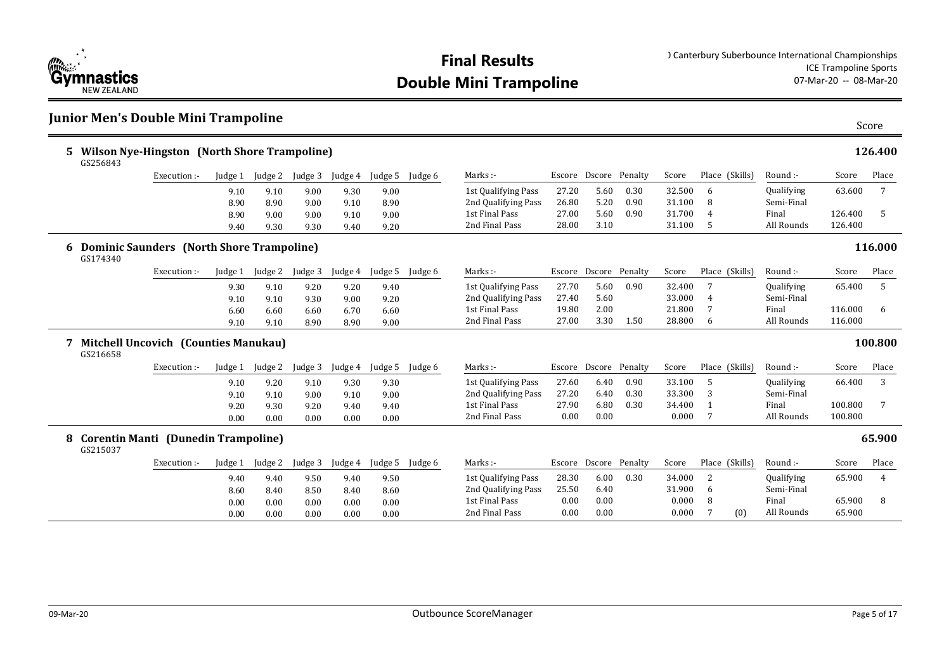

#### **Junior Men's Double Mini Trampoline**

| 5. | GS256843 | <b>Wilson Nye-Hingston (North Shore Trampoline)</b> |         |         |         |         |         |         |                     |       |                       |      |        |                |                |                   |         | 126.400         |
|----|----------|-----------------------------------------------------|---------|---------|---------|---------|---------|---------|---------------------|-------|-----------------------|------|--------|----------------|----------------|-------------------|---------|-----------------|
|    |          | Execution :-                                        | Judge 1 | Judge 2 | Judge 3 | Judge 4 | Judge 5 | Judge 6 | Marks :-            |       | Escore Dscore Penalty |      | Score  |                | Place (Skills) | Round :-          | Score   | Place           |
|    |          |                                                     | 9.10    | 9.10    | 9.00    | 9.30    | 9.00    |         | 1st Qualifying Pass | 27.20 | 5.60                  | 0.30 | 32.500 | 6              |                | Qualifying        | 63.600  | $7\overline{ }$ |
|    |          |                                                     | 8.90    | 8.90    | 9.00    | 9.10    | 8.90    |         | 2nd Qualifying Pass | 26.80 | 5.20                  | 0.90 | 31.100 | 8              |                | Semi-Final        |         |                 |
|    |          |                                                     | 8.90    | 9.00    | 9.00    | 9.10    | 9.00    |         | 1st Final Pass      | 27.00 | 5.60                  | 0.90 | 31.700 | $\overline{4}$ |                | Final             | 126.400 | 5               |
|    |          |                                                     | 9.40    | 9.30    | 9.30    | 9.40    | 9.20    |         | 2nd Final Pass      | 28.00 | 3.10                  |      | 31.100 | 5              |                | All Rounds        | 126.400 |                 |
| 6  | GS174340 | <b>Dominic Saunders (North Shore Trampoline)</b>    |         |         |         |         |         |         |                     |       |                       |      |        |                |                |                   |         | 116.000         |
|    |          | Execution :-                                        | Judge 1 | Judge 2 | Judge 3 | Judge 4 | Judge 5 | Judge 6 | Marks:-             |       | Escore Dscore Penalty |      | Score  |                | Place (Skills) | Round :-          | Score   | Place           |
|    |          |                                                     | 9.30    | 9.10    | 9.20    | 9.20    | 9.40    |         | 1st Qualifying Pass | 27.70 | 5.60                  | 0.90 | 32.400 | 7              |                | Qualifying        | 65.400  | 5               |
|    |          |                                                     | 9.10    | 9.10    | 9.30    | 9.00    | 9.20    |         | 2nd Qualifying Pass | 27.40 | 5.60                  |      | 33.000 | $\overline{4}$ |                | Semi-Final        |         |                 |
|    |          |                                                     | 6.60    | 6.60    | 6.60    | 6.70    | 6.60    |         | 1st Final Pass      | 19.80 | 2.00                  |      | 21.800 | 7              |                | Final             | 116.000 | 6               |
|    |          |                                                     | 9.10    | 9.10    | 8.90    | 8.90    | 9.00    |         | 2nd Final Pass      | 27.00 | 3.30                  | 1.50 | 28.800 | 6              |                | All Rounds        | 116.000 |                 |
|    | GS216658 | 7 Mitchell Uncovich (Counties Manukau)              |         |         |         |         |         |         |                     |       |                       |      |        |                |                |                   |         | 100.800         |
|    |          | Execution :-                                        | Judge 1 | Judge 2 | Judge 3 | Judge 4 | Judge 5 | Judge 6 | Marks :-            |       | Escore Dscore Penalty |      | Score  |                | Place (Skills) | Round :-          | Score   | Place           |
|    |          |                                                     | 9.10    | 9.20    | 9.10    | 9.30    | 9.30    |         | 1st Qualifying Pass | 27.60 | 6.40                  | 0.90 | 33.100 | 5              |                | Qualifying        | 66.400  | 3               |
|    |          |                                                     | 9.10    | 9.10    | 9.00    | 9.10    | 9.00    |         | 2nd Qualifying Pass | 27.20 | 6.40                  | 0.30 | 33.300 | 3              |                | Semi-Final        |         |                 |
|    |          |                                                     | 9.20    | 9.30    | 9.20    | 9.40    | 9.40    |         | 1st Final Pass      | 27.90 | 6.80                  | 0.30 | 34.400 | -1             |                | Final             | 100.800 | $7\phantom{.0}$ |
|    |          |                                                     | 0.00    | 0.00    | 0.00    | 0.00    | 0.00    |         | 2nd Final Pass      | 0.00  | 0.00                  |      | 0.000  | $\overline{7}$ |                | All Rounds        | 100.800 |                 |
|    | GS215037 | 8 Corentin Manti (Dunedin Trampoline)               |         |         |         |         |         |         |                     |       |                       |      |        |                |                |                   |         | 65.900          |
|    |          | Execution :-                                        | Judge 1 | Judge 2 | Judge 3 | Judge 4 | Judge 5 | Judge 6 | Marks :-            |       | Escore Dscore Penalty |      | Score  |                | Place (Skills) | Round :-          | Score   | Place           |
|    |          |                                                     | 9.40    | 9.40    | 9.50    | 9.40    | 9.50    |         | 1st Qualifying Pass | 28.30 | 6.00                  | 0.30 | 34.000 | 2              |                | <b>Qualifying</b> | 65.900  | 4               |
|    |          |                                                     | 8.60    | 8.40    | 8.50    | 8.40    | 8.60    |         | 2nd Qualifying Pass | 25.50 | 6.40                  |      | 31.900 | 6              |                | Semi-Final        |         |                 |
|    |          |                                                     | 0.00    | 0.00    | 0.00    | 0.00    | 0.00    |         | 1st Final Pass      | 0.00  | 0.00                  |      | 0.000  | 8              |                | Final             | 65.900  | 8               |
|    |          |                                                     | 0.00    | 0.00    | 0.00    | 0.00    | 0.00    |         | 2nd Final Pass      | 0.00  | 0.00                  |      | 0.000  | 7              | (0)            | All Rounds        | 65.900  |                 |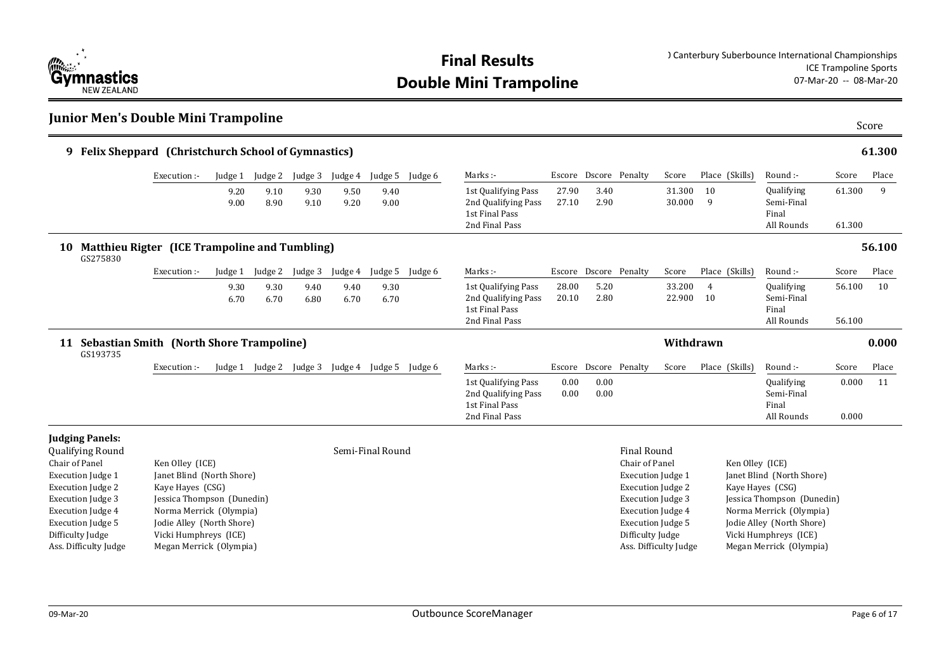

**Junior Men's Double Mini Trampoline** 

| 9 Felix Sheppard (Christchurch School of Gymnastics)                                                                                                       |                                                                                                                                                        |              |                 |                         |              |                         |         |                                                                                |                |                       |                                                                                                                                          |                  |                 |                                                                                                                                     |                  | 61.300 |
|------------------------------------------------------------------------------------------------------------------------------------------------------------|--------------------------------------------------------------------------------------------------------------------------------------------------------|--------------|-----------------|-------------------------|--------------|-------------------------|---------|--------------------------------------------------------------------------------|----------------|-----------------------|------------------------------------------------------------------------------------------------------------------------------------------|------------------|-----------------|-------------------------------------------------------------------------------------------------------------------------------------|------------------|--------|
|                                                                                                                                                            | Execution :-                                                                                                                                           |              | Judge 1 Judge 2 | Judge 3                 | Judge 4      | Judge 5                 | Judge 6 | Marks:-                                                                        |                | Escore Dscore Penalty |                                                                                                                                          | Score            | Place (Skills)  | Round :-                                                                                                                            | Score            | Place  |
|                                                                                                                                                            |                                                                                                                                                        | 9.20<br>9.00 | 9.10<br>8.90    | 9.30<br>9.10            | 9.50<br>9.20 | 9.40<br>9.00            |         | 1st Qualifying Pass<br>2nd Qualifying Pass<br>1st Final Pass<br>2nd Final Pass | 27.90<br>27.10 | 3.40<br>2.90          |                                                                                                                                          | 31.300<br>30.000 | 10<br>9         | Qualifying<br>Semi-Final<br>Final<br>All Rounds                                                                                     | 61.300<br>61.300 | 9      |
| Matthieu Rigter (ICE Trampoline and Tumbling)<br>10<br>GS275830                                                                                            |                                                                                                                                                        |              |                 |                         |              |                         |         |                                                                                |                |                       |                                                                                                                                          |                  |                 |                                                                                                                                     |                  | 56.100 |
|                                                                                                                                                            | Execution :-                                                                                                                                           | Judge 1      | Judge 2         | Judge 3                 | Judge 4      | Judge 5                 | Judge 6 | Marks :-                                                                       |                | Escore Dscore Penalty |                                                                                                                                          | Score            | Place (Skills)  | Round :-                                                                                                                            | Score            | Place  |
|                                                                                                                                                            |                                                                                                                                                        | 9.30<br>6.70 | 9.30<br>6.70    | 9.40<br>6.80            | 9.40<br>6.70 | 9.30<br>6.70            |         | 1st Qualifying Pass<br>2nd Qualifying Pass<br>1st Final Pass<br>2nd Final Pass | 28.00<br>20.10 | 5.20<br>2.80          |                                                                                                                                          | 33.200<br>22.900 | 4<br>10         | Qualifying<br>Semi-Final<br>Final<br>All Rounds                                                                                     | 56.100<br>56.100 | 10     |
| 11 Sebastian Smith (North Shore Trampoline)<br>GS193735                                                                                                    |                                                                                                                                                        |              |                 |                         |              |                         |         |                                                                                |                |                       |                                                                                                                                          | Withdrawn        |                 |                                                                                                                                     |                  | 0.000  |
|                                                                                                                                                            | Execution :-                                                                                                                                           |              |                 | Judge 1 Judge 2 Judge 3 |              | Judge 4 Judge 5 Judge 6 |         | Marks :-                                                                       |                | Escore Dscore Penalty |                                                                                                                                          | Score            | Place (Skills)  | Round :-                                                                                                                            | Score            | Place  |
|                                                                                                                                                            |                                                                                                                                                        |              |                 |                         |              |                         |         | 1st Qualifying Pass<br>2nd Qualifying Pass<br>1st Final Pass<br>2nd Final Pass | 0.00<br>0.00   | 0.00<br>0.00          |                                                                                                                                          |                  |                 | Qualifying<br>Semi-Final<br>Final<br>All Rounds                                                                                     | 0.000<br>0.000   | 11     |
| <b>Judging Panels:</b><br>Qualifying Round                                                                                                                 |                                                                                                                                                        |              |                 |                         |              | Semi-Final Round        |         |                                                                                |                |                       | <b>Final Round</b><br>Chair of Panel                                                                                                     |                  |                 |                                                                                                                                     |                  |        |
| Chair of Panel<br><b>Execution Judge 1</b><br><b>Execution Judge 2</b><br><b>Execution Judge 3</b><br><b>Execution Judge 4</b><br><b>Execution Judge 5</b> | Ken Olley (ICE)<br>Janet Blind (North Shore)<br>Kaye Hayes (CSG)<br>Jessica Thompson (Dunedin)<br>Norma Merrick (Olympia)<br>Jodie Alley (North Shore) |              |                 |                         |              |                         |         |                                                                                |                |                       | <b>Execution Judge 1</b><br><b>Execution Judge 2</b><br><b>Execution Judge 3</b><br><b>Execution Judge 4</b><br><b>Execution Judge 5</b> |                  | Ken Olley (ICE) | Janet Blind (North Shore)<br>Kaye Hayes (CSG)<br>Jessica Thompson (Dunedin)<br>Norma Merrick (Olympia)<br>Jodie Alley (North Shore) |                  |        |
| Difficulty Judge<br>Ass. Difficulty Judge                                                                                                                  | Vicki Humphreys (ICE)<br>Megan Merrick (Olympia)                                                                                                       |              |                 |                         |              |                         |         |                                                                                |                |                       | Difficulty Judge<br>Ass. Difficulty Judge                                                                                                |                  |                 | Vicki Humphreys (ICE)<br>Megan Merrick (Olympia)                                                                                    |                  |        |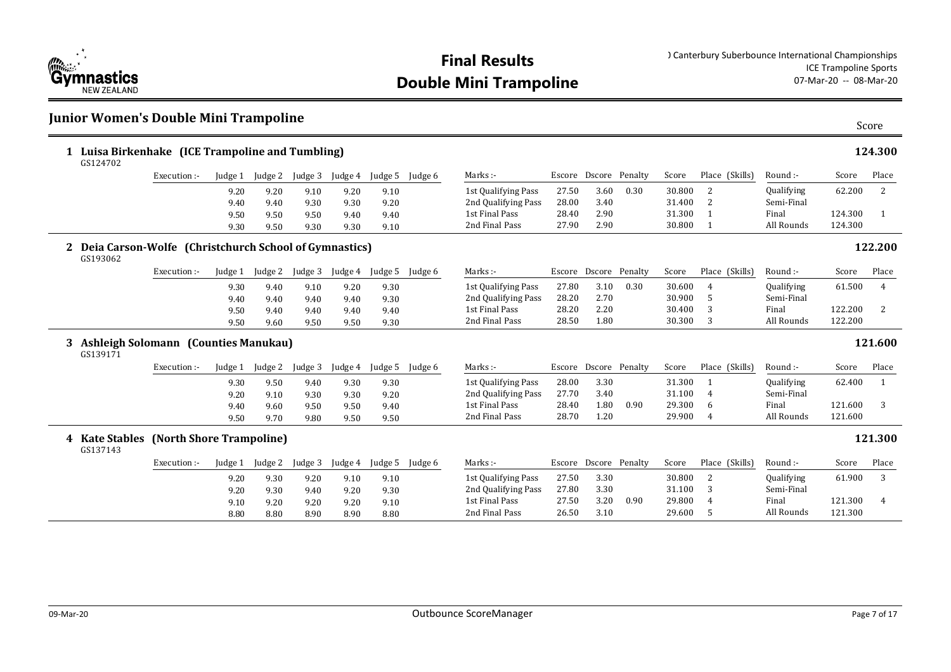

**Double Mini Trampoline** 

#### **Junior Women's Double Mini Trampoline**

|   | 1 Luisa Birkenhake (ICE Trampoline and Tumbling)<br>GS124702        |              |         |         |         |         |         |         |                     |       |                       |                       |        |                |            |         | 124.300        |
|---|---------------------------------------------------------------------|--------------|---------|---------|---------|---------|---------|---------|---------------------|-------|-----------------------|-----------------------|--------|----------------|------------|---------|----------------|
|   |                                                                     | Execution:-  | Judge 1 | Judge 2 | Judge 3 | Judge 4 | Judge 5 | Judge 6 | Marks :-            |       | Escore Dscore Penalty |                       | Score  | Place (Skills) | Round :-   | Score   | Place          |
|   |                                                                     |              | 9.20    | 9.20    | 9.10    | 9.20    | 9.10    |         | 1st Qualifying Pass | 27.50 | 3.60                  | 0.30                  | 30.800 | 2              | Qualifying | 62.200  | 2              |
|   |                                                                     |              | 9.40    | 9.40    | 9.30    | 9.30    | 9.20    |         | 2nd Qualifying Pass | 28.00 | 3.40                  |                       | 31.400 | 2              | Semi-Final |         |                |
|   |                                                                     |              | 9.50    | 9.50    | 9.50    | 9.40    | 9.40    |         | 1st Final Pass      | 28.40 | 2.90                  |                       | 31.300 | $\mathbf{1}$   | Final      | 124.300 | $\overline{1}$ |
|   |                                                                     |              | 9.30    | 9.50    | 9.30    | 9.30    | 9.10    |         | 2nd Final Pass      | 27.90 | 2.90                  |                       | 30.800 | 1              | All Rounds | 124.300 |                |
|   | 2 Deia Carson-Wolfe (Christchurch School of Gymnastics)<br>GS193062 |              |         |         |         |         |         |         |                     |       |                       |                       |        |                |            |         | 122.200        |
|   |                                                                     | Execution :- | Judge 1 | Judge 2 | Judge 3 | Judge 4 | Judge 5 | Judge 6 | Marks :-            |       |                       | Escore Dscore Penalty | Score  | Place (Skills) | Round :-   | Score   | Place          |
|   |                                                                     |              | 9.30    | 9.40    | 9.10    | 9.20    | 9.30    |         | 1st Qualifying Pass | 27.80 | 3.10                  | 0.30                  | 30.600 | 4              | Qualifying | 61.500  | $\overline{4}$ |
|   |                                                                     |              | 9.40    | 9.40    | 9.40    | 9.40    | 9.30    |         | 2nd Qualifying Pass | 28.20 | 2.70                  |                       | 30.900 | 5              | Semi-Final |         |                |
|   |                                                                     |              | 9.50    | 9.40    | 9.40    | 9.40    | 9.40    |         | 1st Final Pass      | 28.20 | 2.20                  |                       | 30.400 | 3              | Final      | 122.200 | 2              |
|   |                                                                     |              | 9.50    | 9.60    | 9.50    | 9.50    | 9.30    |         | 2nd Final Pass      | 28.50 | 1.80                  |                       | 30.300 | 3              | All Rounds | 122.200 |                |
| 3 | Ashleigh Solomann (Counties Manukau)<br>GS139171                    |              |         |         |         |         |         |         |                     |       |                       |                       |        |                |            |         | 121.600        |
|   |                                                                     | Execution:-  | Judge 1 | Judge 2 | Judge 3 | Judge 4 | Judge 5 | Judge 6 | Marks :-            |       |                       | Escore Dscore Penalty | Score  | Place (Skills) | Round :-   | Score   | Place          |
|   |                                                                     |              | 9.30    | 9.50    | 9.40    | 9.30    | 9.30    |         | 1st Qualifying Pass | 28.00 | 3.30                  |                       | 31.300 | -1             | Qualifying | 62.400  | 1              |
|   |                                                                     |              | 9.20    | 9.10    | 9.30    | 9.30    | 9.20    |         | 2nd Qualifying Pass | 27.70 | 3.40                  |                       | 31.100 | 4              | Semi-Final |         |                |
|   |                                                                     |              | 9.40    | 9.60    | 9.50    | 9.50    | 9.40    |         | 1st Final Pass      | 28.40 | 1.80                  | 0.90                  | 29.300 | -6             | Final      | 121.600 | 3              |
|   |                                                                     |              | 9.50    | 9.70    | 9.80    | 9.50    | 9.50    |         | 2nd Final Pass      | 28.70 | 1.20                  |                       | 29.900 | 4              | All Rounds | 121.600 |                |
|   | 4 Kate Stables (North Shore Trampoline)<br>GS137143                 |              |         |         |         |         |         |         |                     |       |                       |                       |        |                |            |         | 121.300        |
|   |                                                                     | Execution :- | Judge 1 | Judge 2 | Judge 3 | Judge 4 | Judge 5 | Judge 6 | Marks :-            |       |                       | Escore Dscore Penalty | Score  | Place (Skills) | Round :-   | Score   | Place          |
|   |                                                                     |              | 9.20    | 9.30    | 9.20    | 9.10    | 9.10    |         | 1st Qualifying Pass | 27.50 | 3.30                  |                       | 30.800 | 2              | Qualifying | 61.900  | 3              |
|   |                                                                     |              | 9.20    | 9.30    | 9.40    | 9.20    | 9.30    |         | 2nd Qualifying Pass | 27.80 | 3.30                  |                       | 31.100 | 3              | Semi-Final |         |                |
|   |                                                                     |              | 9.10    | 9.20    | 9.20    | 9.20    | 9.10    |         | 1st Final Pass      | 27.50 | 3.20                  | 0.90                  | 29.800 | $\overline{4}$ | Final      | 121.300 | $\overline{4}$ |
|   |                                                                     |              | 8.80    | 8.80    | 8.90    | 8 Q O   | 8.80    |         | 2nd Final Pass      | 26.50 | 3.10                  |                       | 29.600 |                | All Rounds | 121.300 |                |

8.80 8.80 8.90 8.90 8.80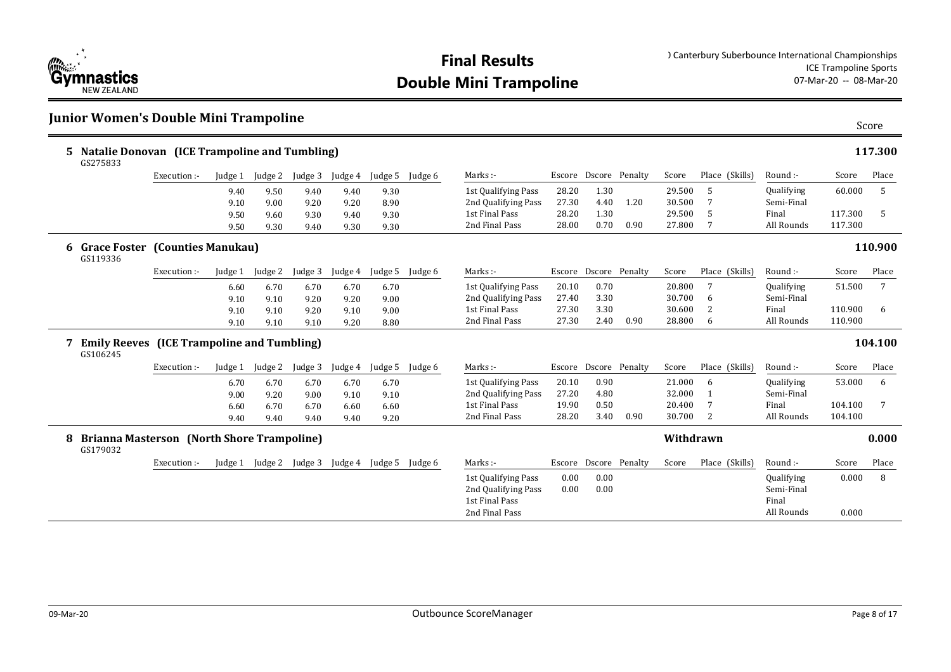

### **Junior Women's Double Mini Trampoline**

|   | 5 Natalie Donovan (ICE Trampoline and Tumbling)<br>GS275833   |              |         |         |         |         |         |         |                                                                                |              |                       |      |           |                |                                                 |                | 117.300 |
|---|---------------------------------------------------------------|--------------|---------|---------|---------|---------|---------|---------|--------------------------------------------------------------------------------|--------------|-----------------------|------|-----------|----------------|-------------------------------------------------|----------------|---------|
|   |                                                               | Execution :- | Judge 1 | Judge 2 | Judge 3 | Judge 4 | Judge 5 | Judge 6 | Marks :-                                                                       |              | Escore Dscore Penalty |      | Score     | Place (Skills) | Round :-                                        | Score          | Place   |
|   |                                                               |              | 9.40    | 9.50    | 9.40    | 9.40    | 9.30    |         | 1st Qualifying Pass                                                            | 28.20        | 1.30                  |      | 29.500    | 5              | Qualifying                                      | 60.000         | 5       |
|   |                                                               |              | 9.10    | 9.00    | 9.20    | 9.20    | 8.90    |         | 2nd Qualifying Pass                                                            | 27.30        | 4.40                  | 1.20 | 30.500    | 7              | Semi-Final                                      |                |         |
|   |                                                               |              | 9.50    | 9.60    | 9.30    | 9.40    | 9.30    |         | 1st Final Pass                                                                 | 28.20        | 1.30                  |      | 29.500    | 5              | Final                                           | 117.300        | 5       |
|   |                                                               |              | 9.50    | 9.30    | 9.40    | 9.30    | 9.30    |         | 2nd Final Pass                                                                 | 28.00        | 0.70                  | 0.90 | 27.800    | 7              | All Rounds                                      | 117.300        |         |
|   | 6 Grace Foster (Counties Manukau)<br>GS119336                 |              |         |         |         |         |         |         |                                                                                |              |                       |      |           |                |                                                 |                | 110.900 |
|   |                                                               | Execution :- | Judge 1 | Judge 2 | Judge 3 | Judge 4 | Judge 5 | Judge 6 | Marks :-                                                                       |              | Escore Dscore Penalty |      | Score     | Place (Skills) | Round :-                                        | Score          | Place   |
|   |                                                               |              | 6.60    | 6.70    | 6.70    | 6.70    | 6.70    |         | 1st Qualifying Pass                                                            | 20.10        | 0.70                  |      | 20.800    | 7              | Qualifying                                      | 51.500         | 7       |
|   |                                                               |              | 9.10    | 9.10    | 9.20    | 9.20    | 9.00    |         | 2nd Qualifying Pass                                                            | 27.40        | 3.30                  |      | 30.700    | 6              | Semi-Final                                      |                |         |
|   |                                                               |              | 9.10    | 9.10    | 9.20    | 9.10    | 9.00    |         | 1st Final Pass                                                                 | 27.30        | 3.30                  |      | 30.600    | $\overline{2}$ | Final                                           | 110.900        | 6       |
|   |                                                               |              | 9.10    | 9.10    | 9.10    | 9.20    | 8.80    |         | 2nd Final Pass                                                                 | 27.30        | 2.40                  | 0.90 | 28.800    | 6              | All Rounds                                      | 110.900        |         |
| 7 | <b>Emily Reeves</b> (ICE Trampoline and Tumbling)<br>GS106245 |              |         |         |         |         |         |         |                                                                                |              |                       |      |           |                |                                                 |                | 104.100 |
|   |                                                               | Execution :- | Judge 1 | Judge 2 | Judge 3 | Judge 4 | Judge 5 | Judge 6 | Marks :-                                                                       |              | Escore Dscore Penalty |      | Score     | Place (Skills) | Round:-                                         | Score          | Place   |
|   |                                                               |              | 6.70    | 6.70    | 6.70    | 6.70    | 6.70    |         | 1st Qualifying Pass                                                            | 20.10        | 0.90                  |      | 21.000    | 6              | Qualifying                                      | 53.000         | 6       |
|   |                                                               |              | 9.00    | 9.20    | 9.00    | 9.10    | 9.10    |         | 2nd Qualifying Pass                                                            | 27.20        | 4.80                  |      | 32.000    |                | Semi-Final                                      |                |         |
|   |                                                               |              | 6.60    | 6.70    | 6.70    | 6.60    | 6.60    |         | 1st Final Pass                                                                 | 19.90        | 0.50                  |      | 20.400    | 7              | Final                                           | 104.100        | 7       |
|   |                                                               |              | 9.40    | 9.40    | 9.40    | 9.40    | 9.20    |         | 2nd Final Pass                                                                 | 28.20        | 3.40                  | 0.90 | 30.700    | 2              | All Rounds                                      | 104.100        |         |
| 8 | <b>Brianna Masterson (North Shore Trampoline)</b><br>GS179032 |              |         |         |         |         |         |         |                                                                                |              |                       |      | Withdrawn |                |                                                 |                | 0.000   |
|   |                                                               | Execution :- | Judge 1 | Judge 2 | Judge 3 | Judge 4 | Judge 5 | Judge 6 | Marks :-                                                                       |              | Escore Dscore Penalty |      | Score     | Place (Skills) | Round :-                                        | Score          | Place   |
|   |                                                               |              |         |         |         |         |         |         | 1st Qualifying Pass<br>2nd Qualifying Pass<br>1st Final Pass<br>2nd Final Pass | 0.00<br>0.00 | 0.00<br>0.00          |      |           |                | Qualifying<br>Semi-Final<br>Final<br>All Rounds | 0.000<br>0.000 | 8       |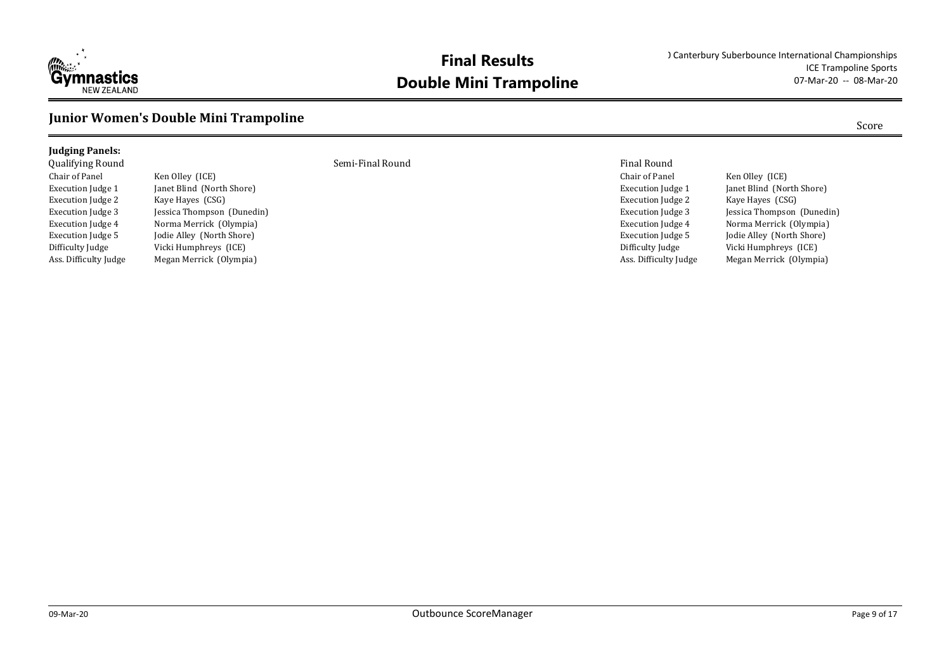

#### **Junior Women's Double Mini Trampoline**

#### **Judging Panels:**

Chair of Panel Ken Olley (ICE) Execution Judge 2 Kaye Hayes (CSG)

Execution Judge 1 Janet Blind (North Shore) Execution Judge 3 Jessica Thompson (Dunedin) Execution Judge 4 Norma Merrick (Olympia) Execution Judge 5 Jodie Alley (North Shore) Difficulty Judge Vicki Humphreys (ICE) Ass. Difficulty Judge Megan Merrick (Olympia)

Qualifying Round Semi-Final Round Final Round

Chair of Panel Ken Olley (ICE) Execution Judge 1 Janet Blind (North Shore) Execution Judge 2 Kaye Hayes (CSG) Execution Judge 4 Norma Merrick (Olympia) Execution Judge 5 Jodie Alley (North Shore) Difficulty Judge Vicki Humphreys (ICE) Ass. Difficulty Judge Megan Merrick (Olympia)

Execution Judge 3 Jessica Thompson (Dunedin)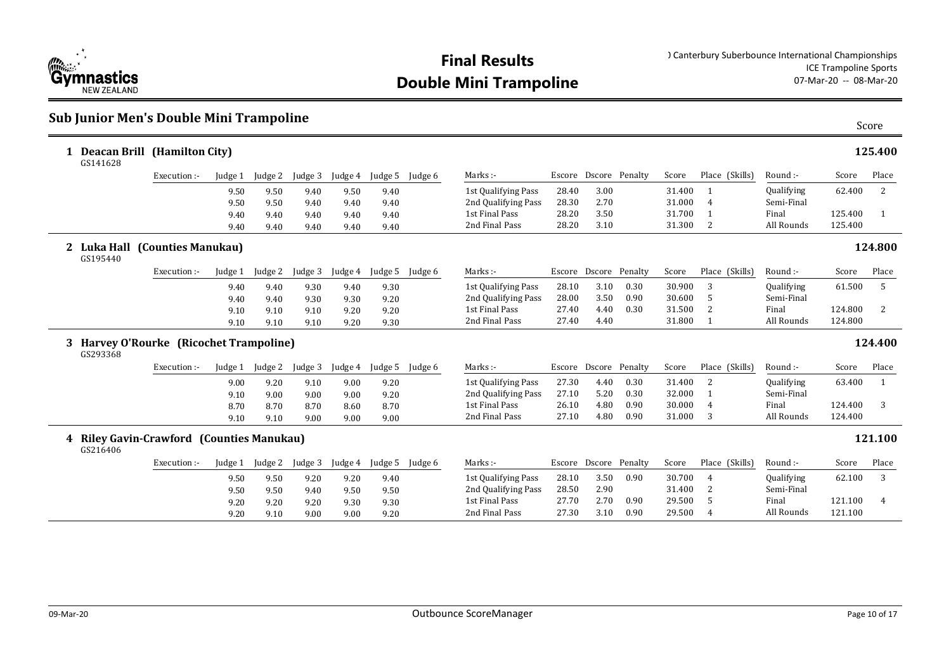

### **Sub Junior Men's Double Mini Trampoline** Score

| 1 Deacan Brill (Hamilton City)<br>GS141628            |              |         |         |         |         |         |         |                     |       |                       |      |        |                |            |         | 125.400        |
|-------------------------------------------------------|--------------|---------|---------|---------|---------|---------|---------|---------------------|-------|-----------------------|------|--------|----------------|------------|---------|----------------|
|                                                       | Execution:-  | Judge 1 | Judge 2 | Judge 3 | Judge 4 | Judge 5 | Judge 6 | Marks:-             |       | Escore Dscore Penalty |      | Score  | Place (Skills) | Round :-   | Score   | Place          |
|                                                       |              | 9.50    | 9.50    | 9.40    | 9.50    | 9.40    |         | 1st Qualifying Pass | 28.40 | 3.00                  |      | 31.400 |                | Qualifying | 62.400  | 2              |
|                                                       |              | 9.50    | 9.50    | 9.40    | 9.40    | 9.40    |         | 2nd Qualifying Pass | 28.30 | 2.70                  |      | 31.000 | $\overline{4}$ | Semi-Final |         |                |
|                                                       |              | 9.40    | 9.40    | 9.40    | 9.40    | 9.40    |         | 1st Final Pass      | 28.20 | 3.50                  |      | 31.700 |                | Final      | 125.400 | -1             |
|                                                       |              | 9.40    | 9.40    | 9.40    | 9.40    | 9.40    |         | 2nd Final Pass      | 28.20 | 3.10                  |      | 31.300 | 2              | All Rounds | 125.400 |                |
| 2 Luka Hall (Counties Manukau)<br>GS195440            |              |         |         |         |         |         |         |                     |       |                       |      |        |                |            |         | 124.800        |
|                                                       | Execution :- | Judge 1 | Judge 2 | Judge 3 | Judge 4 | Judge 5 | Judge 6 | Marks:-             |       | Escore Dscore Penalty |      | Score  | Place (Skills) | Round :-   | Score   | Place          |
|                                                       |              | 9.40    | 9.40    | 9.30    | 9.40    | 9.30    |         | 1st Qualifying Pass | 28.10 | 3.10                  | 0.30 | 30.900 | 3              | Qualifying | 61.500  | 5              |
|                                                       |              | 9.40    | 9.40    | 9.30    | 9.30    | 9.20    |         | 2nd Qualifying Pass | 28.00 | 3.50                  | 0.90 | 30.600 | .5             | Semi-Final |         |                |
|                                                       |              | 9.10    | 9.10    | 9.10    | 9.20    | 9.20    |         | 1st Final Pass      | 27.40 | 4.40                  | 0.30 | 31.500 | 2              | Final      | 124.800 | 2              |
|                                                       |              | 9.10    | 9.10    | 9.10    | 9.20    | 9.30    |         | 2nd Final Pass      | 27.40 | 4.40                  |      | 31.800 |                | All Rounds | 124.800 |                |
| 3 Harvey O'Rourke (Ricochet Trampoline)<br>GS293368   |              |         |         |         |         |         |         |                     |       |                       |      |        |                |            |         | 124.400        |
|                                                       | Execution:-  | Judge 1 | Judge 2 | Judge 3 | Judge 4 | Judge 5 | Judge 6 | Marks:-             |       | Escore Dscore Penalty |      | Score  | Place (Skills) | Round :-   | Score   | Place          |
|                                                       |              | 9.00    | 9.20    | 9.10    | 9.00    | 9.20    |         | 1st Qualifying Pass | 27.30 | 4.40                  | 0.30 | 31.400 | 2              | Qualifying | 63.400  | 1              |
|                                                       |              | 9.10    | 9.00    | 9.00    | 9.00    | 9.20    |         | 2nd Qualifying Pass | 27.10 | 5.20                  | 0.30 | 32.000 |                | Semi-Final |         |                |
|                                                       |              | 8.70    | 8.70    | 8.70    | 8.60    | 8.70    |         | 1st Final Pass      | 26.10 | 4.80                  | 0.90 | 30.000 | $\overline{4}$ | Final      | 124.400 | 3              |
|                                                       |              | 9.10    | 9.10    | 9.00    | 9.00    | 9.00    |         | 2nd Final Pass      | 27.10 | 4.80                  | 0.90 | 31.000 | 3              | All Rounds | 124.400 |                |
| 4 Riley Gavin-Crawford (Counties Manukau)<br>GS216406 |              |         |         |         |         |         |         |                     |       |                       |      |        |                |            |         | 121.100        |
|                                                       | Execution:-  | Judge 1 | Judge 2 | Judge 3 | Judge 4 | Judge 5 | Judge 6 | Marks:-             |       | Escore Dscore Penalty |      | Score  | Place (Skills) | Round :-   | Score   | Place          |
|                                                       |              | 9.50    | 9.50    | 9.20    | 9.20    | 9.40    |         | 1st Qualifying Pass | 28.10 | 3.50                  | 0.90 | 30.700 | 4              | Qualifying | 62.100  | 3              |
|                                                       |              | 9.50    | 9.50    | 9.40    | 9.50    | 9.50    |         | 2nd Qualifying Pass | 28.50 | 2.90                  |      | 31.400 | 2              | Semi-Final |         |                |
|                                                       |              | 9.20    | 9.20    | 9.20    | 9.30    | 9.30    |         | 1st Final Pass      | 27.70 | 2.70                  | 0.90 | 29.500 | 5              | Final      | 121.100 | $\overline{4}$ |
|                                                       |              | 9.20    | 9.10    | 9.00    | 9.00    | 9.20    |         | 2nd Final Pass      | 27.30 | 3.10                  | 0.90 | 29.500 | 4              | All Rounds | 121.100 |                |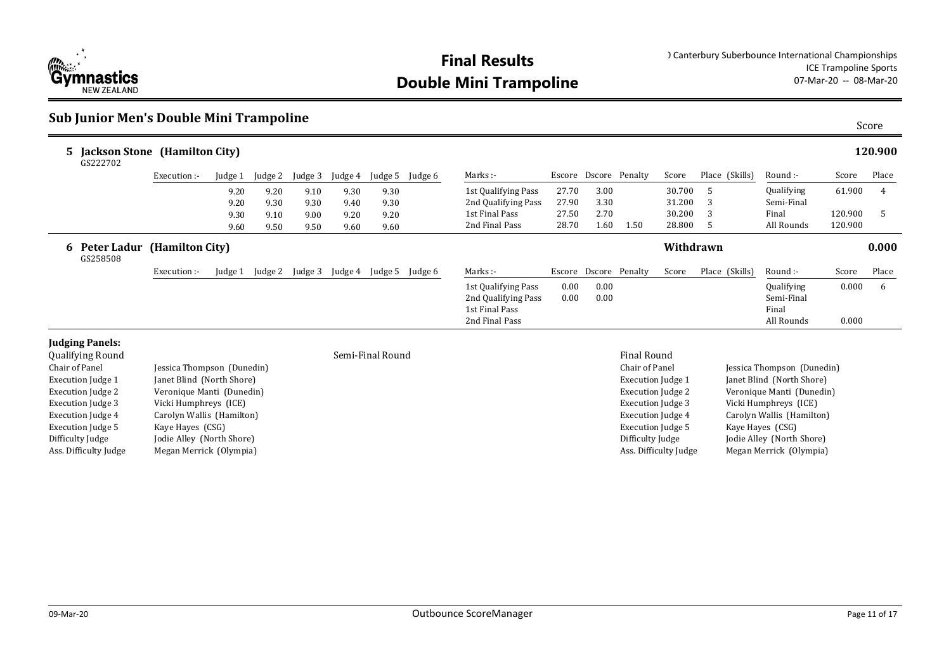

#### **Sub Junior Men's Double Mini Trampoline**

| <b>Jackson Stone</b> (Hamilton City)<br>5.<br>GS222702 |                            |         |         |         |         |                  |         |                                                                                |              |              |                          |                       |    |                |                                                 |                | 120.900 |
|--------------------------------------------------------|----------------------------|---------|---------|---------|---------|------------------|---------|--------------------------------------------------------------------------------|--------------|--------------|--------------------------|-----------------------|----|----------------|-------------------------------------------------|----------------|---------|
|                                                        | Execution :-               | Judge 1 | Judge 2 | Judge 3 | Judge 4 | Judge 5          | Judge 6 | Marks :-                                                                       |              |              | Escore Dscore Penalty    | Score                 |    | Place (Skills) | Round :-                                        | Score          | Place   |
|                                                        |                            | 9.20    | 9.20    | 9.10    | 9.30    | 9.30             |         | 1st Qualifying Pass                                                            | 27.70        | 3.00         |                          | 30.700                | -5 |                | Qualifying                                      | 61.900         | 4       |
|                                                        |                            | 9.20    | 9.30    | 9.30    | 9.40    | 9.30             |         | 2nd Qualifying Pass                                                            | 27.90        | 3.30         |                          | 31.200                | 3  |                | Semi-Final                                      |                |         |
|                                                        |                            | 9.30    | 9.10    | 9.00    | 9.20    | 9.20             |         | 1st Final Pass                                                                 | 27.50        | 2.70         |                          | 30.200                | 3  |                | Final                                           | 120.900        | .5      |
|                                                        |                            | 9.60    | 9.50    | 9.50    | 9.60    | 9.60             |         | 2nd Final Pass                                                                 | 28.70        | 1.60         | 1.50                     | 28.800                | -5 |                | All Rounds                                      | 120.900        |         |
| 6 Peter Ladur<br>GS258508                              | (Hamilton City)            |         |         |         |         |                  |         |                                                                                |              |              |                          | Withdrawn             |    |                |                                                 |                | 0.000   |
|                                                        | Execution :-               | Judge 1 | Judge 2 | Judge 3 | Judge 4 | Judge 5          | Judge 6 | Marks :-                                                                       |              |              | Escore Dscore Penalty    | Score                 |    | Place (Skills) | Round :-                                        | Score          | Place   |
|                                                        |                            |         |         |         |         |                  |         | 1st Qualifying Pass<br>2nd Qualifying Pass<br>1st Final Pass<br>2nd Final Pass | 0.00<br>0.00 | 0.00<br>0.00 |                          |                       |    |                | Qualifying<br>Semi-Final<br>Final<br>All Rounds | 0.000<br>0.000 | 6       |
| <b>Judging Panels:</b><br>Qualifying Round             |                            |         |         |         |         | Semi-Final Round |         |                                                                                |              |              | <b>Final Round</b>       |                       |    |                |                                                 |                |         |
| Chair of Panel                                         | Jessica Thompson (Dunedin) |         |         |         |         |                  |         |                                                                                |              |              | Chair of Panel           |                       |    |                | Jessica Thompson (Dunedin)                      |                |         |
| <b>Execution Judge 1</b>                               | Janet Blind (North Shore)  |         |         |         |         |                  |         |                                                                                |              |              | <b>Execution Judge 1</b> |                       |    |                | Janet Blind (North Shore)                       |                |         |
| Execution Judge 2                                      | Veronique Manti (Dunedin)  |         |         |         |         |                  |         |                                                                                |              |              | Execution Judge 2        |                       |    |                | Veronique Manti (Dunedin)                       |                |         |
| <b>Execution Judge 3</b>                               | Vicki Humphreys (ICE)      |         |         |         |         |                  |         |                                                                                |              |              | <b>Execution Judge 3</b> |                       |    |                | Vicki Humphreys (ICE)                           |                |         |
| <b>Execution Judge 4</b>                               | Carolyn Wallis (Hamilton)  |         |         |         |         |                  |         |                                                                                |              |              | Execution Judge 4        |                       |    |                | Carolyn Wallis (Hamilton)                       |                |         |
| Execution Judge 5                                      | Kaye Hayes (CSG)           |         |         |         |         |                  |         |                                                                                |              |              | Execution Judge 5        |                       |    |                | Kaye Hayes (CSG)                                |                |         |
| Difficulty Judge                                       | Jodie Alley (North Shore)  |         |         |         |         |                  |         |                                                                                |              |              | Difficulty Judge         |                       |    |                | Jodie Alley (North Shore)                       |                |         |
| Ass. Difficulty Judge                                  | Megan Merrick (Olympia)    |         |         |         |         |                  |         |                                                                                |              |              |                          | Ass. Difficulty Judge |    |                | Megan Merrick (Olympia)                         |                |         |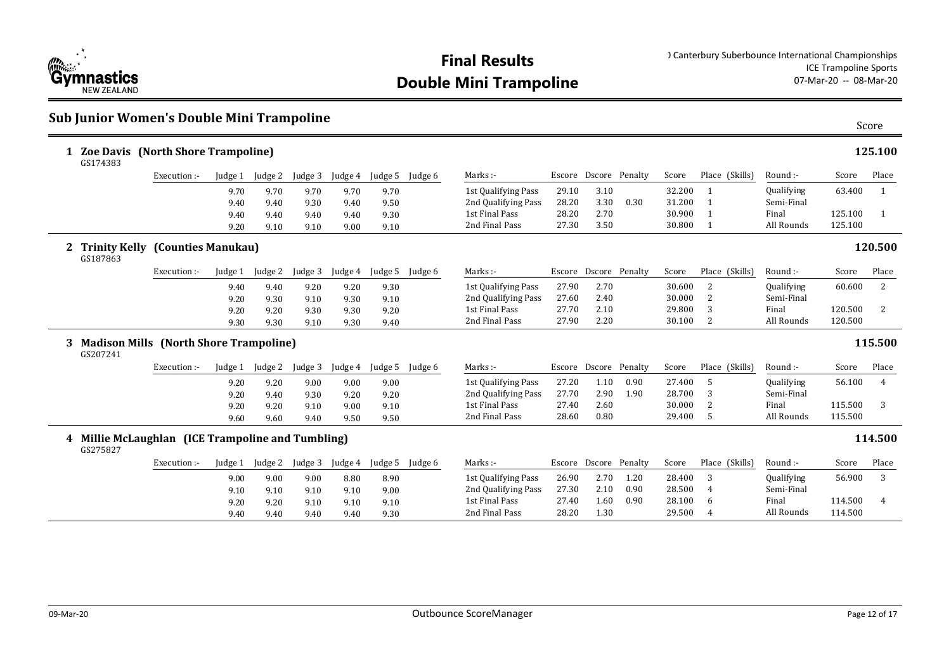

### **Sub Junior Women's Double Mini Trampoline** Score

| 1 | <b>Zoe Davis</b> (North Shore Trampoline)<br>GS174383                  |              |         |              |         |         |         |         |                     |       |                       |      |        |                |                   |         | 125.100      |
|---|------------------------------------------------------------------------|--------------|---------|--------------|---------|---------|---------|---------|---------------------|-------|-----------------------|------|--------|----------------|-------------------|---------|--------------|
|   |                                                                        | Execution :- | Judge 1 | Judge 2      | Judge 3 | Judge 4 | Judge 5 | Judge 6 | Marks:-             |       | Escore Dscore Penalty |      | Score  | Place (Skills) | Round :-          | Score   | Place        |
|   |                                                                        |              | 9.70    | 9.70         | 9.70    | 9.70    | 9.70    |         | 1st Qualifying Pass | 29.10 | 3.10                  |      | 32.200 | -1             | Qualifying        | 63.400  | 1            |
|   |                                                                        |              | 9.40    | 9.40         | 9.30    | 9.40    | 9.50    |         | 2nd Qualifying Pass | 28.20 | 3.30                  | 0.30 | 31.200 |                | Semi-Final        |         |              |
|   |                                                                        |              | 9.40    | 9.40         | 9.40    | 9.40    | 9.30    |         | 1st Final Pass      | 28.20 | 2.70                  |      | 30.900 | $\mathbf{1}$   | Final             | 125.100 | $\mathbf{1}$ |
|   |                                                                        |              | 9.20    | 9.10         | 9.10    | 9.00    | 9.10    |         | 2nd Final Pass      | 27.30 | 3.50                  |      | 30.800 | -1             | All Rounds        | 125.100 |              |
|   | <b>Trinity Kelly</b><br>(Counties Manukau)<br>$\mathbf{2}$<br>GS187863 |              |         |              |         |         |         |         |                     |       |                       |      |        |                | 120.500           |         |              |
|   |                                                                        | Execution :- | Judge 1 | Judge 2      | Judge 3 | Judge 4 | Judge 5 | Judge 6 | Marks :-            |       | Escore Dscore Penalty |      | Score  | Place (Skills) | Round :-          | Score   | Place        |
|   |                                                                        |              | 9.40    | 9.40         | 9.20    | 9.20    | 9.30    |         | 1st Qualifying Pass | 27.90 | 2.70                  |      | 30.600 | 2              | Qualifying        | 60.600  | 2            |
|   |                                                                        |              | 9.20    | 9.30         | 9.10    | 9.30    | 9.10    |         | 2nd Qualifying Pass | 27.60 | 2.40                  |      | 30.000 | 2              | Semi-Final        |         |              |
|   |                                                                        |              | 9.20    | 9.20         | 9.30    | 9.30    | 9.20    |         | 1st Final Pass      | 27.70 | 2.10                  |      | 29.800 | 3              | Final             | 120.500 | 2            |
|   |                                                                        |              | 9.30    |              |         |         |         |         | 2nd Final Pass      | 27.90 | 2.20                  |      | 30.100 | 2              | All Rounds        | 120.500 |              |
|   |                                                                        |              |         | 9.30         | 9.10    | 9.30    | 9.40    |         |                     |       |                       |      |        |                |                   |         |              |
| 3 | <b>Madison Mills (North Shore Trampoline)</b><br>GS207241              |              |         |              |         |         |         |         |                     |       |                       |      |        |                |                   |         | 115.500      |
|   |                                                                        | Execution :- | Judge 1 | Judge 2      | Judge 3 | Judge 4 | Judge 5 | Judge 6 | Marks:-             |       | Escore Dscore Penalty |      | Score  | Place (Skills) | Round :-          | Score   | Place        |
|   |                                                                        |              | 9.20    |              | 9.00    | 9.00    | 9.00    |         | 1st Qualifying Pass | 27.20 | 1.10                  | 0.90 | 27.400 | 5              | Qualifying        | 56.100  | 4            |
|   |                                                                        |              | 9.20    | 9.20<br>9.40 | 9.30    | 9.20    | 9.20    |         | 2nd Qualifying Pass | 27.70 | 2.90                  | 1.90 | 28.700 | 3              | Semi-Final        |         |              |
|   |                                                                        |              | 9.20    | 9.20         | 9.10    | 9.00    | 9.10    |         | 1st Final Pass      | 27.40 | 2.60                  |      | 30.000 | 2              | Final             | 115.500 | 3            |
|   |                                                                        |              | 9.60    | 9.60         | 9.40    | 9.50    | 9.50    |         | 2nd Final Pass      | 28.60 | 0.80                  |      | 29.400 | -5             | All Rounds        | 115.500 |              |
|   | 4 Millie McLaughlan (ICE Trampoline and Tumbling)<br>GS275827          |              |         |              |         |         |         |         |                     |       |                       |      |        |                |                   |         | 114.500      |
|   |                                                                        | Execution :- | Judge 1 | Judge 2      | Judge 3 | Judge 4 | Judge 5 | Judge 6 | Marks :-            |       | Escore Dscore Penalty |      | Score  | Place (Skills) | Round :-          | Score   | Place        |
|   |                                                                        |              | 9.00    | 9.00         | 9.00    | 8.80    | 8.90    |         | 1st Qualifying Pass | 26.90 | 2.70                  | 1.20 | 28.400 | 3              | <b>Qualifying</b> | 56.900  | 3            |
|   |                                                                        |              | 9.10    | 9.10         | 9.10    | 9.10    | 9.00    |         | 2nd Qualifying Pass | 27.30 | 2.10                  | 0.90 | 28.500 | 4              | Semi-Final        |         |              |
|   |                                                                        |              | 9.20    | 9.20         | 9.10    | 9.10    | 9.10    |         | 1st Final Pass      | 27.40 | 1.60                  | 0.90 | 28.100 | 6              | Final             | 114.500 | 4            |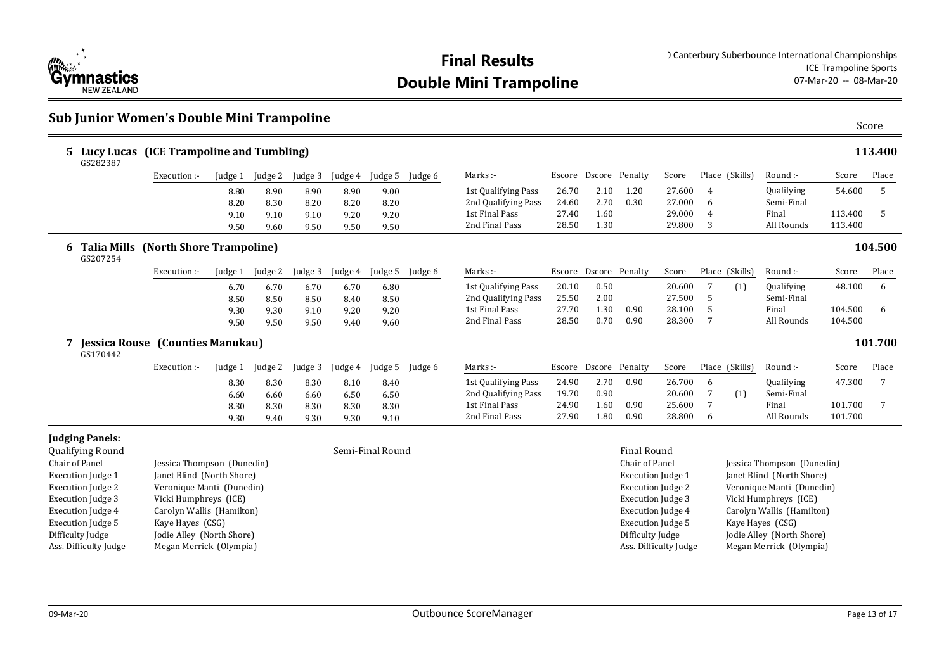

### **Sub Junior Women's Double Mini Trampoline** Score

| 5 Lucy Lucas (ICE Trampoline and Tumbling)<br>GS282387 |                                             |         |                 |         |         |                  |         |                     |        |                       |                          |                       |                |                |                            |         | 113.400 |
|--------------------------------------------------------|---------------------------------------------|---------|-----------------|---------|---------|------------------|---------|---------------------|--------|-----------------------|--------------------------|-----------------------|----------------|----------------|----------------------------|---------|---------|
|                                                        | Execution :-                                |         | Judge 1 Judge 2 | Judge 3 | Judge 4 | Judge 5          | Judge 6 | Marks :-            |        | Escore Dscore Penalty |                          | Score                 |                | Place (Skills) | Round :-                   | Score   | Place   |
|                                                        |                                             | 8.80    | 8.90            | 8.90    | 8.90    | 9.00             |         | 1st Qualifying Pass | 26.70  | 2.10                  | 1.20                     | 27.600                | 4              |                | Qualifying                 | 54.600  | 5       |
|                                                        |                                             | 8.20    | 8.30            | 8.20    | 8.20    | 8.20             |         | 2nd Qualifying Pass | 24.60  | 2.70                  | 0.30                     | 27.000                | 6              |                | Semi-Final                 |         |         |
|                                                        |                                             | 9.10    | 9.10            | 9.10    | 9.20    | 9.20             |         | 1st Final Pass      | 27.40  | 1.60                  |                          | 29.000                | $\overline{4}$ |                | Final                      | 113.400 | 5       |
|                                                        |                                             | 9.50    | 9.60            | 9.50    | 9.50    | 9.50             |         | 2nd Final Pass      | 28.50  | 1.30                  |                          | 29.800                | 3              |                | All Rounds                 | 113.400 |         |
| 6<br>GS207254                                          | <b>Talia Mills (North Shore Trampoline)</b> |         |                 |         |         |                  |         |                     |        |                       |                          |                       |                |                |                            |         | 104.500 |
|                                                        | Execution :-                                | Judge 1 | Judge 2         | Judge 3 | Judge 4 | Judge 5          | Judge 6 | Marks :-            | Escore | Dscore Penalty        |                          | Score                 |                | Place (Skills) | Round :-                   | Score   | Place   |
|                                                        |                                             | 6.70    | 6.70            | 6.70    | 6.70    | 6.80             |         | 1st Qualifying Pass | 20.10  | 0.50                  |                          | 20.600                | 7              | (1)            | Qualifying                 | 48.100  | 6       |
|                                                        |                                             | 8.50    | 8.50            | 8.50    | 8.40    | 8.50             |         | 2nd Qualifying Pass | 25.50  | 2.00                  |                          | 27.500                | 5              |                | Semi-Final                 |         |         |
|                                                        |                                             | 9.30    | 9.30            | 9.10    | 9.20    | 9.20             |         | 1st Final Pass      | 27.70  | 1.30                  | 0.90                     | 28.100                | 5              |                | Final                      | 104.500 | 6       |
|                                                        |                                             | 9.50    | 9.50            | 9.50    | 9.40    | 9.60             |         | 2nd Final Pass      | 28.50  | 0.70                  | 0.90                     | 28.300                | 7              |                | All Rounds                 | 104.500 |         |
| GS170442                                               | Jessica Rouse (Counties Manukau)            |         |                 |         |         |                  |         |                     |        |                       |                          |                       |                |                |                            |         | 101.700 |
|                                                        | Execution :-                                | Judge 1 | Judge 2         | Judge 3 | Judge 4 | Judge 5          | Judge 6 | Marks :-            |        | Escore Dscore Penalty |                          | Score                 |                | Place (Skills) | Round :-                   | Score   | Place   |
|                                                        |                                             | 8.30    | 8.30            | 8.30    | 8.10    | 8.40             |         | 1st Qualifying Pass | 24.90  | 2.70                  | 0.90                     | 26.700                | 6              |                | Qualifying                 | 47.300  | 7       |
|                                                        |                                             | 6.60    | 6.60            | 6.60    | 6.50    | 6.50             |         | 2nd Qualifying Pass | 19.70  | 0.90                  |                          | 20.600                | 7              | (1)            | Semi-Final                 |         |         |
|                                                        |                                             | 8.30    | 8.30            | 8.30    | 8.30    | 8.30             |         | 1st Final Pass      | 24.90  | 1.60                  | 0.90                     | 25.600                | 7              |                | Final                      | 101.700 | 7       |
|                                                        |                                             | 9.30    | 9.40            | 9.30    | 9.30    | 9.10             |         | 2nd Final Pass      | 27.90  | 1.80                  | 0.90                     | 28.800                | 6              |                | All Rounds                 | 101.700 |         |
| <b>Judging Panels:</b><br>Qualifying Round             |                                             |         |                 |         |         | Semi-Final Round |         |                     |        |                       | <b>Final Round</b>       |                       |                |                |                            |         |         |
| Chair of Panel                                         | Jessica Thompson (Dunedin)                  |         |                 |         |         |                  |         |                     |        |                       | Chair of Panel           |                       |                |                | Jessica Thompson (Dunedin) |         |         |
| <b>Execution Judge 1</b>                               | Janet Blind (North Shore)                   |         |                 |         |         |                  |         |                     |        |                       | <b>Execution Judge 1</b> |                       |                |                | Janet Blind (North Shore)  |         |         |
| Execution Judge 2                                      | Veronique Manti (Dunedin)                   |         |                 |         |         |                  |         |                     |        |                       | <b>Execution Judge 2</b> |                       |                |                | Veronique Manti (Dunedin)  |         |         |
| <b>Execution Judge 3</b>                               | Vicki Humphreys (ICE)                       |         |                 |         |         |                  |         |                     |        |                       | <b>Execution Judge 3</b> |                       |                |                | Vicki Humphreys (ICE)      |         |         |
| <b>Execution Judge 4</b>                               | Carolyn Wallis (Hamilton)                   |         |                 |         |         |                  |         |                     |        |                       | <b>Execution Judge 4</b> |                       |                |                | Carolyn Wallis (Hamilton)  |         |         |
| <b>Execution Judge 5</b>                               | Kaye Hayes (CSG)                            |         |                 |         |         |                  |         |                     |        |                       | <b>Execution Judge 5</b> |                       |                |                | Kaye Hayes (CSG)           |         |         |
| Difficulty Judge                                       | Jodie Alley (North Shore)                   |         |                 |         |         |                  |         |                     |        |                       | Difficulty Judge         |                       |                |                | Jodie Alley (North Shore)  |         |         |
| Ass. Difficulty Judge                                  | Megan Merrick (Olympia)                     |         |                 |         |         |                  |         |                     |        |                       |                          | Ass. Difficulty Judge |                |                | Megan Merrick (Olympia)    |         |         |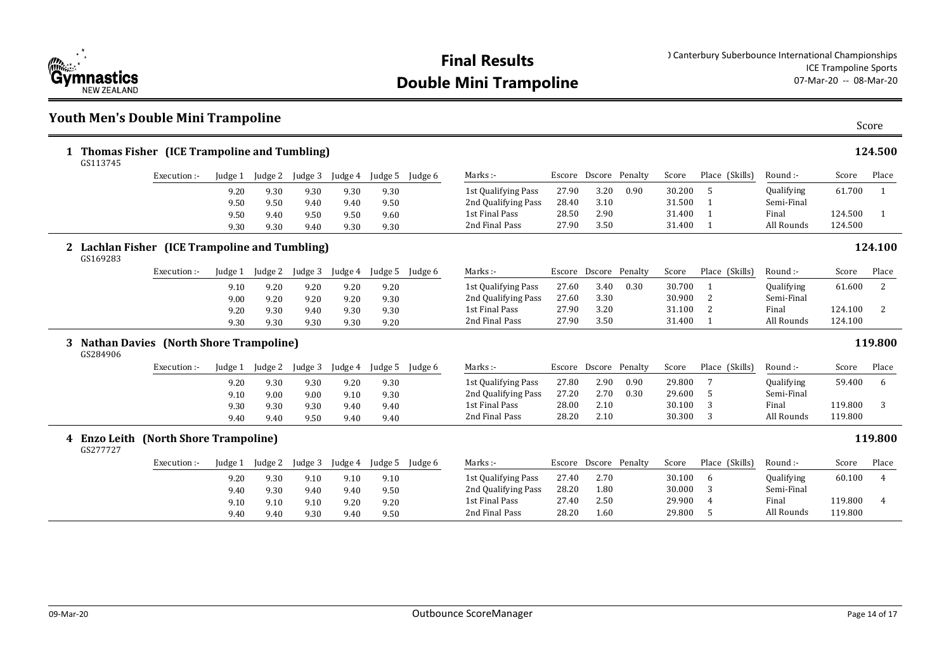

#### **Youth Men's Double Mini Trampoline** Score

| GS113745 | Thomas Fisher (ICE Trampoline and Tumbling)    |              |              |              |              |              |         |                                            |        |                       |      |        |              |                |                          |         | 124.500      |
|----------|------------------------------------------------|--------------|--------------|--------------|--------------|--------------|---------|--------------------------------------------|--------|-----------------------|------|--------|--------------|----------------|--------------------------|---------|--------------|
|          | Execution :-                                   | Judge 1      | Judge 2      | Judge 3      | Judge 4      | Judge 5      | Judge 6 | Marks:-                                    |        | Escore Dscore Penalty |      | Score  |              | Place (Skills) | Round :-                 | Score   | Place        |
|          |                                                | 9.20         | 9.30         | 9.30         | 9.30         | 9.30         |         | 1st Qualifying Pass                        | 27.90  | 3.20                  | 0.90 | 30.200 | 5            |                | Qualifying               | 61.700  | 1            |
|          |                                                | 9.50         | 9.50         | 9.40         | 9.40         | 9.50         |         | 2nd Qualifying Pass                        | 28.40  | 3.10                  |      | 31.500 | $\mathbf{1}$ |                | Semi-Final               |         |              |
|          |                                                | 9.50         | 9.40         | 9.50         | 9.50         | 9.60         |         | 1st Final Pass                             | 28.50  | 2.90                  |      | 31.400 | $\mathbf{1}$ |                | Final                    | 124.500 | $\mathbf{1}$ |
|          |                                                | 9.30         | 9.30         | 9.40         | 9.30         | 9.30         |         | 2nd Final Pass                             | 27.90  | 3.50                  |      | 31.400 | $\mathbf{1}$ |                | All Rounds               | 124.500 |              |
| GS169283 | 2 Lachlan Fisher (ICE Trampoline and Tumbling) |              |              |              |              |              |         |                                            |        |                       |      |        |              |                |                          |         | 124.100      |
|          | Execution :-                                   | Judge 1      | Judge 2      | Judge 3      | Judge 4      | Judge 5      | Judge 6 | Marks:-                                    |        | Escore Dscore Penalty |      | Score  |              | Place (Skills) | Round :-                 | Score   | Place        |
|          |                                                | 9.10         | 9.20         | 9.20         | 9.20         | 9.20         |         | 1st Qualifying Pass                        | 27.60  | 3.40                  | 0.30 | 30.700 | 1            |                | Qualifying               | 61.600  | 2            |
|          |                                                | 9.00         | 9.20         | 9.20         | 9.20         | 9.30         |         | 2nd Qualifying Pass                        | 27.60  | 3.30                  |      | 30.900 | 2            |                | Semi-Final               |         |              |
|          |                                                | 9.20         | 9.30         | 9.40         | 9.30         | 9.30         |         | 1st Final Pass                             | 27.90  | 3.20                  |      | 31.100 | 2            |                | Final                    | 124.100 | 2            |
|          |                                                |              |              |              |              |              |         |                                            |        |                       |      |        |              |                |                          |         |              |
|          |                                                | 9.30         | 9.30         | 9.30         | 9.30         | 9.20         |         | 2nd Final Pass                             | 27.90  | 3.50                  |      | 31.400 | 1            |                | All Rounds               | 124.100 |              |
| GS284906 | 3 Nathan Davies (North Shore Trampoline)       |              |              |              |              |              |         |                                            |        |                       |      |        |              |                |                          |         | 119.800      |
|          | Execution :-                                   | Judge 1      | Judge 2      | Judge 3      | Judge 4      | Judge 5      | Judge 6 | Marks :-                                   | Escore | Dscore Penalty        |      | Score  |              | Place (Skills) | Round :-                 | Score   | Place        |
|          |                                                |              |              |              |              |              |         |                                            | 27.80  | 2.90                  | 0.90 | 29.800 | 7            |                |                          | 59.400  | 6            |
|          |                                                | 9.20         | 9.30         | 9.30         | 9.20         | 9.30         |         | 1st Qualifying Pass<br>2nd Qualifying Pass | 27.20  | 2.70                  | 0.30 | 29.600 | 5            |                | Qualifying<br>Semi-Final |         |              |
|          |                                                | 9.10         | 9.00         | 9.00         | 9.10         | 9.30         |         | 1st Final Pass                             | 28.00  | 2.10                  |      | 30.100 | 3            |                | Final                    | 119.800 | 3            |
|          |                                                | 9.30<br>9.40 | 9.30<br>9.40 | 9.30<br>9.50 | 9.40<br>9.40 | 9.40<br>9.40 |         | 2nd Final Pass                             | 28.20  | 2.10                  |      | 30.300 | 3            |                | All Rounds               | 119.800 |              |
| GS277727 | 4 Enzo Leith (North Shore Trampoline)          |              |              |              |              |              |         |                                            |        |                       |      |        |              |                |                          |         | 119.800      |
|          | Execution :-                                   | Judge 1      | Judge 2      | Judge 3      | Judge 4      | Judge 5      | Judge 6 | Marks:-                                    |        | Escore Dscore Penalty |      | Score  |              | Place (Skills) | Round:-                  | Score   | Place        |
|          |                                                | 9.20         | 9.30         | 9.10         | 9.10         | 9.10         |         |                                            | 27.40  | 2.70                  |      | 30.100 | 6            |                | Qualifying               | 60.100  | 4            |
|          |                                                | 9.40         | 9.30         | 9.40         | 9.40         |              |         | 1st Qualifying Pass<br>2nd Qualifying Pass | 28.20  | 1.80                  |      | 30.000 | 3            |                | Semi-Final               |         |              |
|          |                                                | 9.10         | 9.10         | 9.10         | 9.20         | 9.50<br>9.20 |         | 1st Final Pass                             | 27.40  | 2.50                  |      | 29.900 |              |                | Final                    | 119.800 | 4            |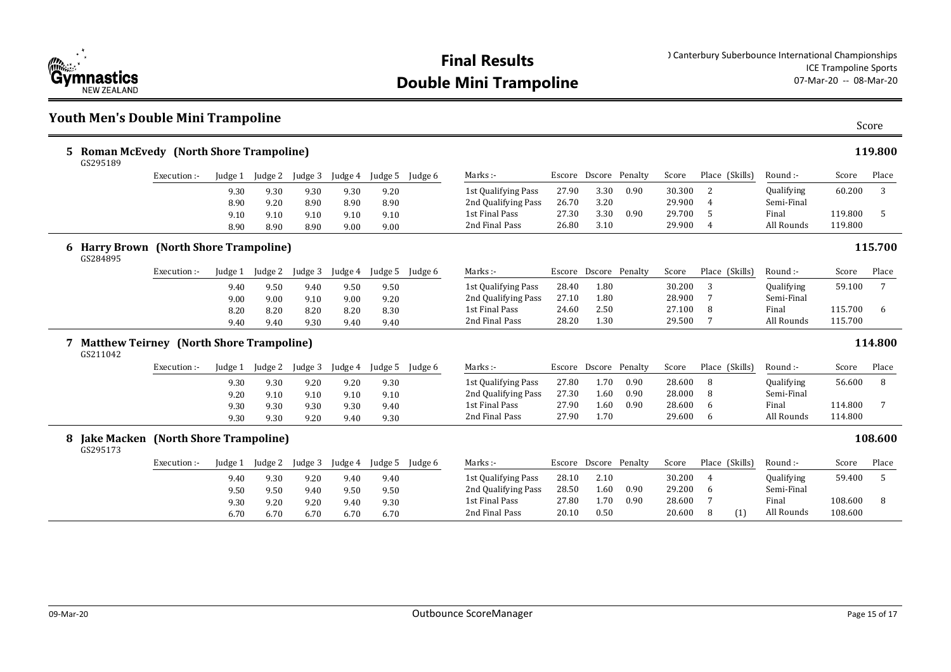

#### **Youth Men's Double Mini Trampoline** Score

| 5 Roman McEvedy (North Shore Trampoline)<br>GS295189 |              |         |         |         |         |         |         |                     |       |      |                       | 119.800  |                |            |         |         |
|------------------------------------------------------|--------------|---------|---------|---------|---------|---------|---------|---------------------|-------|------|-----------------------|----------|----------------|------------|---------|---------|
|                                                      | Execution :- | Judge 1 | Judge 2 | Judge 3 | Judge 4 | Judge 5 | Judge 6 | Marks :-            |       |      | Escore Dscore Penalty | Score    | Place (Skills) | Round :-   | Score   | Place   |
|                                                      |              | 9.30    | 9.30    | 9.30    | 9.30    | 9.20    |         | 1st Qualifying Pass | 27.90 | 3.30 | 0.90                  | 30.300   |                | Qualifying | 60.200  |         |
|                                                      |              | 8.90    | 9.20    | 8.90    | 8.90    | 8.90    |         | 2nd Qualifying Pass | 26.70 | 3.20 |                       | 29.900   | 4              | Semi-Final |         |         |
|                                                      |              | 9.10    | 9.10    | 9.10    | 9.10    | 9.10    |         | 1st Final Pass      | 27.30 | 3.30 | 0.90                  | 29.700 5 |                | Final      | 119.800 |         |
|                                                      |              | 8.90    | 8.90    | 8.90    | 9.00    | 9.00    |         | 2nd Final Pass      | 26.80 | 3.10 |                       | 29.900   |                | All Rounds | 119.800 |         |
| 6 Harry Brown (North Shore Trampoline)               |              |         |         |         |         |         |         |                     |       |      |                       |          |                |            |         | 115.700 |

#### **Harry Brown (North Shore Trampoline) 6 115.700**

| GS284895 |  |
|----------|--|

| . |              |         |         |         |         |        |         |                     |        |        |         |        |                   |            |         |       |
|---|--------------|---------|---------|---------|---------|--------|---------|---------------------|--------|--------|---------|--------|-------------------|------------|---------|-------|
|   | Execution :- | Judge 1 | Judge 2 | Judge 3 | Judge 4 | udge 5 | Judge 6 | Marks :-            | Escore | Dscore | Penalty | Score  | (Skills)<br>Place | Round :-   | Score   | Place |
|   |              | 9.40    | 9.50    | 9.40    | 9.50    | 9.50   |         | 1st Qualifying Pass | 28.40  | 1.80   |         | 30.200 |                   | Qualifying | 59.100  |       |
|   |              | 9.00    | 9.00    | 9.10    | 9.00    | 9.20   |         | 2nd Qualifying Pass | 27.10  | 1.80   |         | 28.900 |                   | Semi-Final |         |       |
|   |              | 8.20    | 8.20    | 8.20    | 8.20    | 8.30   |         | 1st Final Pass      | 24.60  | 2.50   |         | 27.100 |                   | Final      | 115.700 |       |
|   |              | 9.40    | 9.40    | 9.30    | 9.40    | 9.40   |         | 2nd Final Pass      | 28.20  | 1.30   |         | 29.500 |                   | All Rounds | 115.700 |       |
|   |              |         |         |         |         |        |         |                     |        |        |         |        |                   |            |         |       |

#### **Matthew Teirney (North Shore Trampoline) 7 114.800**  $GS21$

| 1042 |              |         |         |         |         |         |         |                     |        |      |                |        |                |            |         |       |
|------|--------------|---------|---------|---------|---------|---------|---------|---------------------|--------|------|----------------|--------|----------------|------------|---------|-------|
|      | Execution :- | Judge 1 | Iudge 2 | Judge 3 | Judge 4 | Judge 5 | Judge 6 | Marks:-             | Escore |      | Dscore Penalty | Score  | Place (Skills) | Round :-   | Score   | Place |
|      |              | 9.30    | 9.30    | 9.20    | 9.20    | 9.30    |         | 1st Qualifying Pass | 27.80  | 1.70 | 0.90           | 28.600 | 8              | Qualifying | 56.600  |       |
|      |              | 9.20    | 9.10    | 9.10    | 9.10    | 9.10    |         | 2nd Qualifying Pass | 27.30  | 1.60 | 0.90           | 28.000 | . 8            | Semi-Final |         |       |
|      |              | 9.30    | 9.30    | 9.30    | 9.30    | 9.40    |         | 1st Final Pass      | 27.90  | 1.60 | 0.90           | 28.600 | - 6            | Final      | 114.800 |       |
|      |              | 9.30    | 9.30    | 9.20    | 9.40    | 9.30    |         | 2nd Final Pass      | 27.90  | 1.70 |                | 29.600 | - 6            | All Rounds | 114.800 |       |
|      |              |         |         |         |         |         |         |                     |        |      |                |        |                |            |         |       |

#### **Jake Macken (North Shore Trampoline) 8 108.600** GS2

| 295173 |              |         |         |         |         |         |         |                     |       |      |                       |        |                |                   |         |       |
|--------|--------------|---------|---------|---------|---------|---------|---------|---------------------|-------|------|-----------------------|--------|----------------|-------------------|---------|-------|
|        | Execution :- | Judge 1 | Judge 2 | Judge 3 | Judge 4 | Judge 5 | Judge 6 | Marks:-             |       |      | Escore Dscore Penalty | Score  | Place (Skills) | Round :-          | Score   | Place |
|        |              | 9.40    | 9.30    | 9.20    | 9.40    | 9.40    |         | 1st Qualifying Pass | 28.10 | 2.10 |                       | 30.200 |                | <b>Qualifying</b> | 59.400  |       |
|        |              | 9.50    | 9.50    | 9.40    | 9.50    | 9.50    |         | 2nd Qualifying Pass | 28.50 | 1.60 | 0.90                  | 29.200 | $\mathbf{b}$   | Semi-Final        |         |       |
|        |              | 9.30    | 9.20    | 9.20    | 9.40    | 9.30    |         | 1st Final Pass      | 27.80 | . 70 | 0.90                  | 28.600 |                | Final             | 108.600 |       |
|        |              | 6.70    | 6.70    | 6.70    | 6.70    | 6.70    |         | 2nd Final Pass      | 20.10 | 0.50 |                       | 20.600 |                | All Rounds        | 108.600 |       |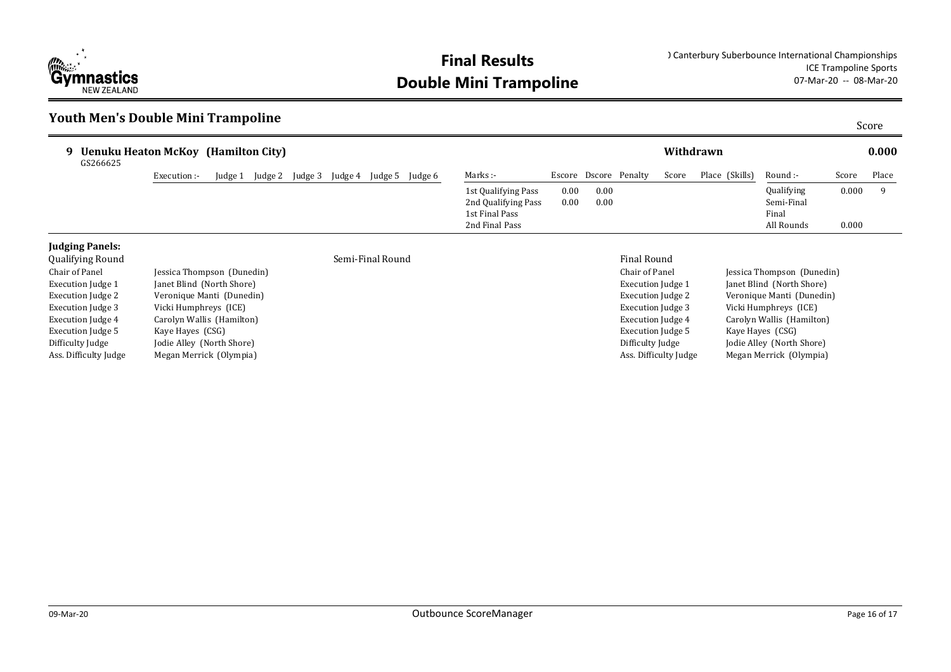

## **Youth Men's Double Mini Trampoline** Score

| <b>Uenuku Heaton McKoy (Hamilton City)</b><br>g.<br>GS266625 |              |        |                 |         |                 |                                                              |                      |                       |       | Withdrawn      |                                   |       | 0.000 |
|--------------------------------------------------------------|--------------|--------|-----------------|---------|-----------------|--------------------------------------------------------------|----------------------|-----------------------|-------|----------------|-----------------------------------|-------|-------|
|                                                              | Execution :- | udge 1 | Judge 2 Judge 3 | Judge 4 | Judge 5 Judge 6 | Marks :-                                                     |                      | Escore Dscore Penalty | Score | Place (Skills) | Round :-                          | Score | Place |
|                                                              |              |        |                 |         |                 | 1st Qualifying Pass<br>2nd Qualifying Pass<br>1st Final Pass | $0.00\,$<br>$0.00\,$ | 0.00<br>0.00          |       |                | Qualifying<br>Semi-Final<br>Final | 0.000 |       |
|                                                              |              |        |                 |         |                 | 2nd Final Pass                                               |                      |                       |       |                | All Rounds                        | 0.000 |       |

### **Judging Panels:**

| <b>Qualifying Round</b> |                            | Semi-Final Round | <b>Final Round</b>   |
|-------------------------|----------------------------|------------------|----------------------|
| Chair of Panel          | Jessica Thompson (Dunedin) |                  | Chair of Pane        |
| Execution Judge 1       | Janet Blind (North Shore)  |                  | <b>Execution</b> Juc |
| Execution Judge 2       | Veronique Manti (Dunedin)  |                  | <b>Execution</b> Juc |
| Execution Judge 3       | Vicki Humphreys (ICE)      |                  | <b>Execution</b> Juc |
| Execution Judge 4       | Carolyn Wallis (Hamilton)  |                  | <b>Execution</b> Juc |
| Execution Judge 5       | Kaye Hayes (CSG)           |                  | <b>Execution</b> Juc |
| Difficulty Judge        | Jodie Alley (North Shore)  |                  | Difficulty Jud       |
| Ass. Difficulty Judge   | Megan Merrick (Olympia)    |                  | Ass. Difficulty      |

#### Chair of Panel Jessica Thompson (Dunedin) Execution Judge 1 Janet Blind (North Shore) Execution Judge 2 Veronique Manti (Dunedin) Execution Judge 3 Vicki Humphreys (ICE) Execution Judge 4 Carolyn Wallis (Hamilton) Execution Judge 5 Kaye Hayes (CSG) Difficulty Judge Jodie Alley (North Shore)

# Ass. Difficulty Judge Megan Merrick (Olympia)